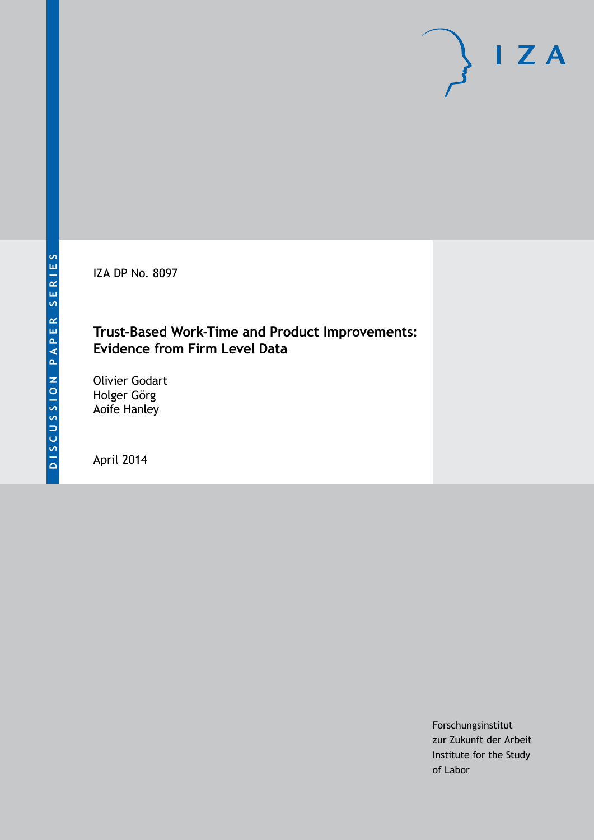IZA DP No. 8097

## **Trust-Based Work-Time and Product Improvements: Evidence from Firm Level Data**

Olivier Godart Holger Görg Aoife Hanley

April 2014

Forschungsinstitut zur Zukunft der Arbeit Institute for the Study of Labor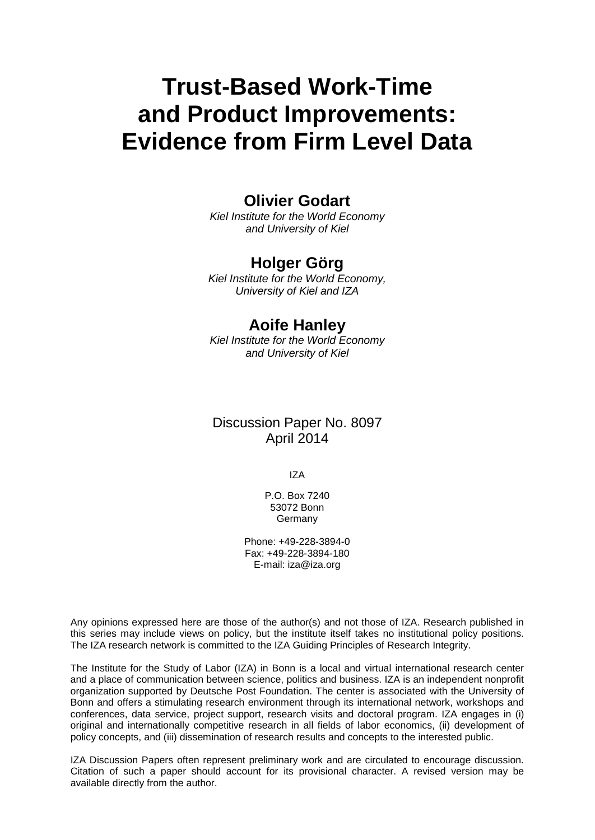# **Trust-Based Work-Time and Product Improvements: Evidence from Firm Level Data**

## **Olivier Godart**

*Kiel Institute for the World Economy and University of Kiel*

## **Holger Görg**

*Kiel Institute for the World Economy, University of Kiel and IZA*

## **Aoife Hanley**

*Kiel Institute for the World Economy and University of Kiel*

### Discussion Paper No. 8097 April 2014

IZA

P.O. Box 7240 53072 Bonn Germany

Phone: +49-228-3894-0 Fax: +49-228-3894-180 E-mail: [iza@iza.org](mailto:iza@iza.org)

Any opinions expressed here are those of the author(s) and not those of IZA. Research published in this series may include views on policy, but the institute itself takes no institutional policy positions. The IZA research network is committed to the IZA Guiding Principles of Research Integrity.

The Institute for the Study of Labor (IZA) in Bonn is a local and virtual international research center and a place of communication between science, politics and business. IZA is an independent nonprofit organization supported by Deutsche Post Foundation. The center is associated with the University of Bonn and offers a stimulating research environment through its international network, workshops and conferences, data service, project support, research visits and doctoral program. IZA engages in (i) original and internationally competitive research in all fields of labor economics, (ii) development of policy concepts, and (iii) dissemination of research results and concepts to the interested public.

IZA Discussion Papers often represent preliminary work and are circulated to encourage discussion. Citation of such a paper should account for its provisional character. A revised version may be available directly from the author.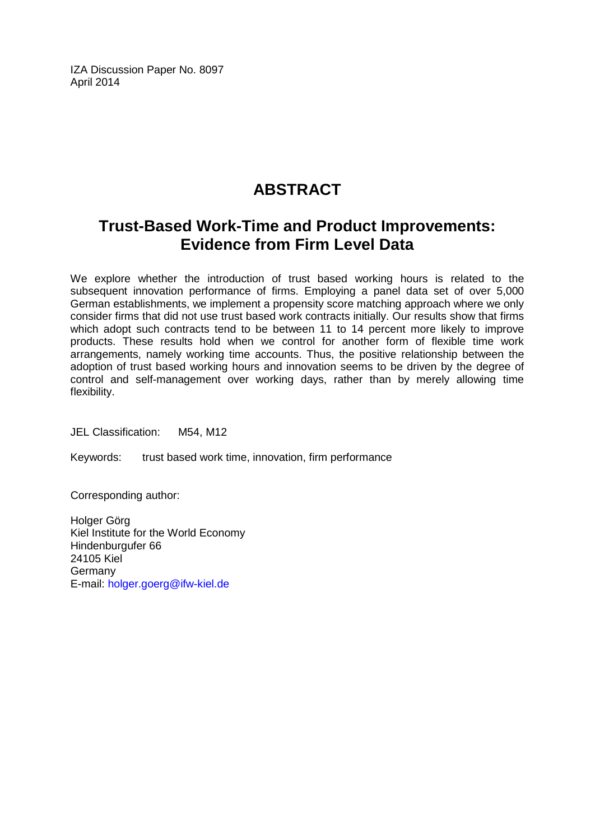IZA Discussion Paper No. 8097 April 2014

# **ABSTRACT**

## **Trust-Based Work-Time and Product Improvements: Evidence from Firm Level Data**

We explore whether the introduction of trust based working hours is related to the subsequent innovation performance of firms. Employing a panel data set of over 5,000 German establishments, we implement a propensity score matching approach where we only consider firms that did not use trust based work contracts initially. Our results show that firms which adopt such contracts tend to be between 11 to 14 percent more likely to improve products. These results hold when we control for another form of flexible time work arrangements, namely working time accounts. Thus, the positive relationship between the adoption of trust based working hours and innovation seems to be driven by the degree of control and self-management over working days, rather than by merely allowing time flexibility.

JEL Classification: M54, M12

Keywords: trust based work time, innovation, firm performance

Corresponding author:

Holger Görg Kiel Institute for the World Economy Hindenburgufer 66 24105 Kiel Germany E-mail: [holger.goerg@ifw-kiel.de](mailto:holger.goerg@ifw-kiel.de)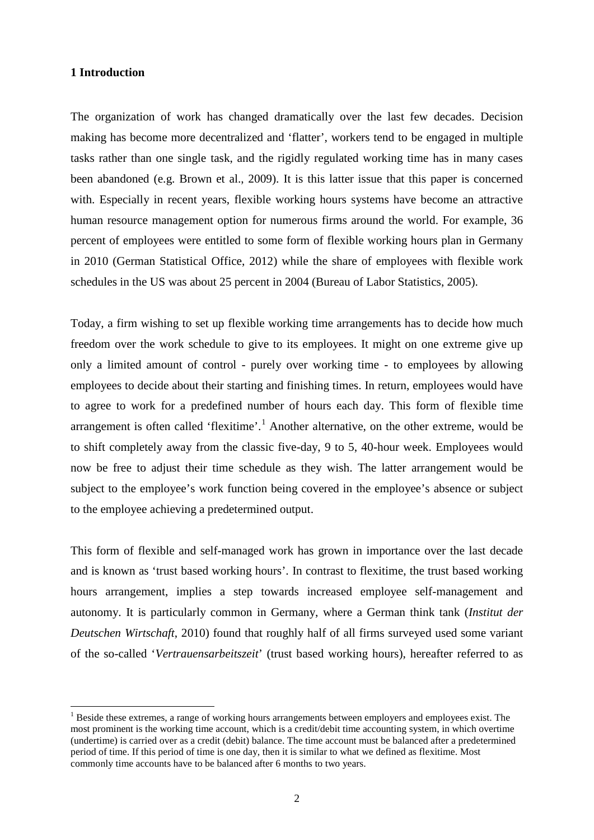#### **1 Introduction**

The organization of work has changed dramatically over the last few decades. Decision making has become more decentralized and 'flatter', workers tend to be engaged in multiple tasks rather than one single task, and the rigidly regulated working time has in many cases been abandoned (e.g. Brown et al., 2009). It is this latter issue that this paper is concerned with. Especially in recent years, flexible working hours systems have become an attractive human resource management option for numerous firms around the world. For example, 36 percent of employees were entitled to some form of flexible working hours plan in Germany in 2010 (German Statistical Office, 2012) while the share of employees with flexible work schedules in the US was about 25 percent in 2004 (Bureau of Labor Statistics, 2005).

Today, a firm wishing to set up flexible working time arrangements has to decide how much freedom over the work schedule to give to its employees. It might on one extreme give up only a limited amount of control - purely over working time - to employees by allowing employees to decide about their starting and finishing times. In return, employees would have to agree to work for a predefined number of hours each day. This form of flexible time arrangement is often called 'flexitime'.<sup>1</sup> Another alternative, on the other extreme, would be to shift completely away from the classic five-day, 9 to 5, 40-hour week. Employees would now be free to adjust their time schedule as they wish. The latter arrangement would be subject to the employee's work function being covered in the employee's absence or subject to the employee achieving a predetermined output.

This form of flexible and self-managed work has grown in importance over the last decade and is known as 'trust based working hours'. In contrast to flexitime, the trust based working hours arrangement, implies a step towards increased employee self-management and autonomy. It is particularly common in Germany, where a German think tank (*Institut der Deutschen Wirtschaft*, 2010) found that roughly half of all firms surveyed used some variant of the so-called '*Vertrauensarbeitszeit*' (trust based working hours), hereafter referred to as

<span id="page-3-0"></span> $<sup>1</sup>$  Beside these extremes, a range of working hours arrangements between employers and employees exist. The</sup> most prominent is the working time account, which is a credit/debit time accounting system, in which overtime (undertime) is carried over as a credit (debit) balance. The time account must be balanced after a predetermined period of time. If this period of time is one day, then it is similar to what we defined as flexitime. Most commonly time accounts have to be balanced after 6 months to two years.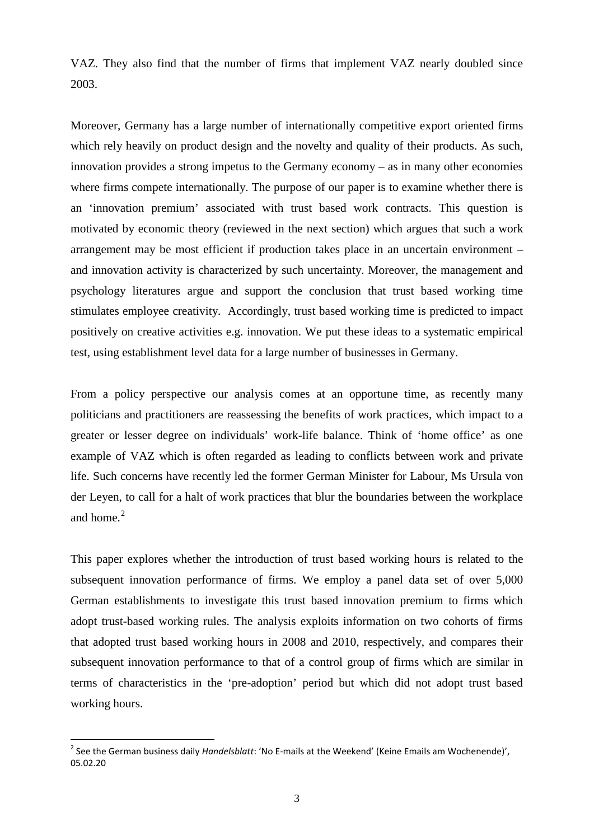VAZ. They also find that the number of firms that implement VAZ nearly doubled since 2003.

Moreover, Germany has a large number of internationally competitive export oriented firms which rely heavily on product design and the novelty and quality of their products. As such, innovation provides a strong impetus to the Germany economy – as in many other economies where firms compete internationally. The purpose of our paper is to examine whether there is an 'innovation premium' associated with trust based work contracts. This question is motivated by economic theory (reviewed in the next section) which argues that such a work arrangement may be most efficient if production takes place in an uncertain environment – and innovation activity is characterized by such uncertainty. Moreover, the management and psychology literatures argue and support the conclusion that trust based working time stimulates employee creativity. Accordingly, trust based working time is predicted to impact positively on creative activities e.g. innovation. We put these ideas to a systematic empirical test, using establishment level data for a large number of businesses in Germany.

From a policy perspective our analysis comes at an opportune time, as recently many politicians and practitioners are reassessing the benefits of work practices, which impact to a greater or lesser degree on individuals' work-life balance. Think of 'home office' as one example of VAZ which is often regarded as leading to conflicts between work and private life. Such concerns have recently led the former German Minister for Labour, Ms Ursula von der Leyen, to call for a halt of work practices that blur the boundaries between the workplace and home.<sup>[2](#page-3-0)</sup>

This paper explores whether the introduction of trust based working hours is related to the subsequent innovation performance of firms. We employ a panel data set of over 5,000 German establishments to investigate this trust based innovation premium to firms which adopt trust-based working rules. The analysis exploits information on two cohorts of firms that adopted trust based working hours in 2008 and 2010, respectively, and compares their subsequent innovation performance to that of a control group of firms which are similar in terms of characteristics in the 'pre-adoption' period but which did not adopt trust based working hours.

<span id="page-4-0"></span> <sup>2</sup> See the German business daily *Handelsblatt*: 'No E-mails at the Weekend' (Keine Emails am Wochenende)', 05.02.20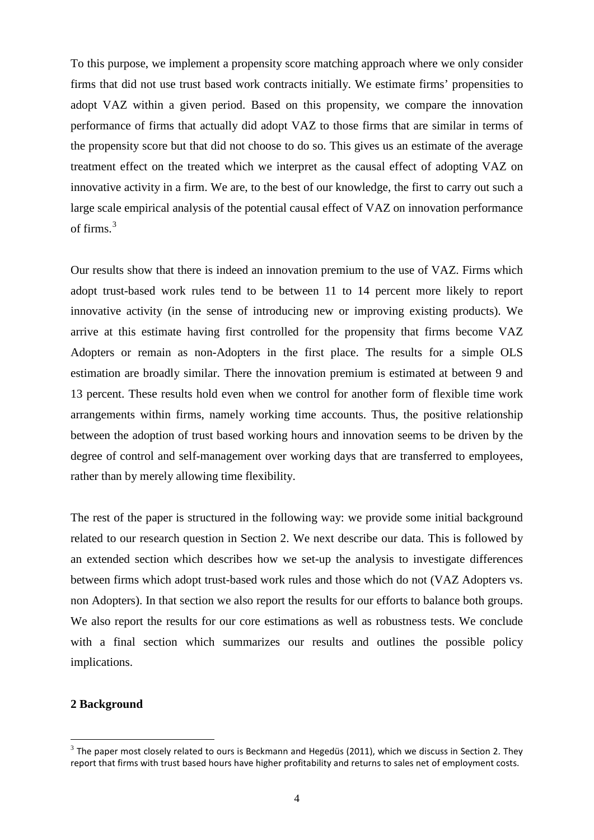To this purpose, we implement a propensity score matching approach where we only consider firms that did not use trust based work contracts initially. We estimate firms' propensities to adopt VAZ within a given period. Based on this propensity, we compare the innovation performance of firms that actually did adopt VAZ to those firms that are similar in terms of the propensity score but that did not choose to do so. This gives us an estimate of the average treatment effect on the treated which we interpret as the causal effect of adopting VAZ on innovative activity in a firm. We are, to the best of our knowledge, the first to carry out such a large scale empirical analysis of the potential causal effect of VAZ on innovation performance of firms. $3$ 

Our results show that there is indeed an innovation premium to the use of VAZ. Firms which adopt trust-based work rules tend to be between 11 to 14 percent more likely to report innovative activity (in the sense of introducing new or improving existing products). We arrive at this estimate having first controlled for the propensity that firms become VAZ Adopters or remain as non-Adopters in the first place. The results for a simple OLS estimation are broadly similar. There the innovation premium is estimated at between 9 and 13 percent. These results hold even when we control for another form of flexible time work arrangements within firms, namely working time accounts. Thus, the positive relationship between the adoption of trust based working hours and innovation seems to be driven by the degree of control and self-management over working days that are transferred to employees, rather than by merely allowing time flexibility.

The rest of the paper is structured in the following way: we provide some initial background related to our research question in Section 2. We next describe our data. This is followed by an extended section which describes how we set-up the analysis to investigate differences between firms which adopt trust-based work rules and those which do not (VAZ Adopters vs. non Adopters). In that section we also report the results for our efforts to balance both groups. We also report the results for our core estimations as well as robustness tests. We conclude with a final section which summarizes our results and outlines the possible policy implications.

#### <span id="page-5-0"></span>**2 Background**

 $\overline{a}$ 

 $3$  The paper most closely related to ours is Beckmann and Hegedüs (2011), which we discuss in Section 2. They report that firms with trust based hours have higher profitability and returns to sales net of employment costs.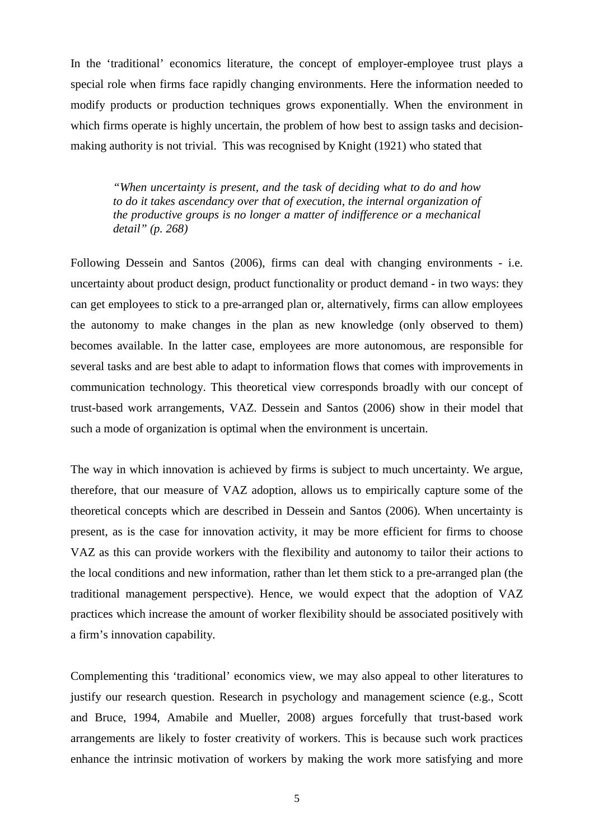In the 'traditional' economics literature, the concept of employer-employee trust plays a special role when firms face rapidly changing environments. Here the information needed to modify products or production techniques grows exponentially. When the environment in which firms operate is highly uncertain, the problem of how best to assign tasks and decisionmaking authority is not trivial. This was recognised by Knight (1921) who stated that

*"When uncertainty is present, and the task of deciding what to do and how to do it takes ascendancy over that of execution, the internal organization of the productive groups is no longer a matter of indifference or a mechanical detail" (p. 268)*

Following Dessein and Santos (2006), firms can deal with changing environments - i.e. uncertainty about product design, product functionality or product demand - in two ways: they can get employees to stick to a pre-arranged plan or, alternatively, firms can allow employees the autonomy to make changes in the plan as new knowledge (only observed to them) becomes available. In the latter case, employees are more autonomous, are responsible for several tasks and are best able to adapt to information flows that comes with improvements in communication technology. This theoretical view corresponds broadly with our concept of trust-based work arrangements, VAZ. Dessein and Santos (2006) show in their model that such a mode of organization is optimal when the environment is uncertain.

The way in which innovation is achieved by firms is subject to much uncertainty. We argue, therefore, that our measure of VAZ adoption, allows us to empirically capture some of the theoretical concepts which are described in Dessein and Santos (2006). When uncertainty is present, as is the case for innovation activity, it may be more efficient for firms to choose VAZ as this can provide workers with the flexibility and autonomy to tailor their actions to the local conditions and new information, rather than let them stick to a pre-arranged plan (the traditional management perspective). Hence, we would expect that the adoption of VAZ practices which increase the amount of worker flexibility should be associated positively with a firm's innovation capability.

Complementing this 'traditional' economics view, we may also appeal to other literatures to justify our research question. Research in psychology and management science (e.g., Scott and Bruce, 1994, Amabile and Mueller, 2008) argues forcefully that trust-based work arrangements are likely to foster creativity of workers. This is because such work practices enhance the intrinsic motivation of workers by making the work more satisfying and more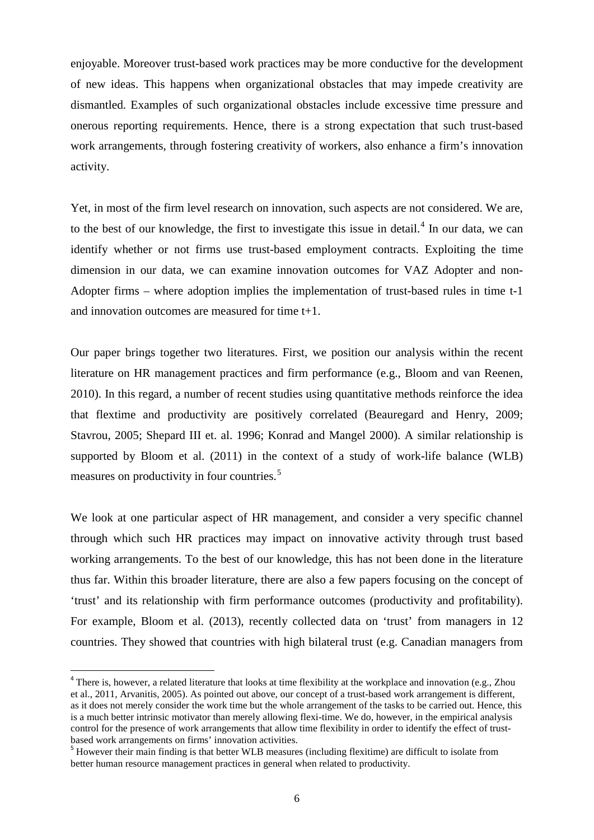enjoyable. Moreover trust-based work practices may be more conductive for the development of new ideas. This happens when organizational obstacles that may impede creativity are dismantled. Examples of such organizational obstacles include excessive time pressure and onerous reporting requirements. Hence, there is a strong expectation that such trust-based work arrangements, through fostering creativity of workers, also enhance a firm's innovation activity.

Yet, in most of the firm level research on innovation, such aspects are not considered. We are, to the best of our knowledge, the first to investigate this issue in detail.<sup>[4](#page-5-0)</sup> In our data, we can identify whether or not firms use trust-based employment contracts. Exploiting the time dimension in our data, we can examine innovation outcomes for VAZ Adopter and non-Adopter firms – where adoption implies the implementation of trust-based rules in time t-1 and innovation outcomes are measured for time t+1.

Our paper brings together two literatures. First, we position our analysis within the recent literature on HR management practices and firm performance (e.g., Bloom and van Reenen, 2010). In this regard, a number of recent studies using quantitative methods reinforce the idea that flextime and productivity are positively correlated (Beauregard and Henry, 2009; Stavrou, 2005; Shepard III et. al. 1996; Konrad and Mangel 2000). A similar relationship is supported by Bloom et al. (2011) in the context of a study of work-life balance (WLB) measures on productivity in four countries.<sup>[5](#page-7-0)</sup>

We look at one particular aspect of HR management, and consider a very specific channel through which such HR practices may impact on innovative activity through trust based working arrangements. To the best of our knowledge, this has not been done in the literature thus far. Within this broader literature, there are also a few papers focusing on the concept of 'trust' and its relationship with firm performance outcomes (productivity and profitability). For example, Bloom et al. (2013), recently collected data on 'trust' from managers in 12 countries. They showed that countries with high bilateral trust (e.g. Canadian managers from

<sup>&</sup>lt;sup>4</sup> There is, however, a related literature that looks at time flexibility at the workplace and innovation (e.g., Zhou et al., 2011, Arvanitis, 2005). As pointed out above, our concept of a trust-based work arrangement is different, as it does not merely consider the work time but the whole arrangement of the tasks to be carried out. Hence, this is a much better intrinsic motivator than merely allowing flexi-time. We do, however, in the empirical analysis control for the presence of work arrangements that allow time flexibility in order to identify the effect of trustbased work arrangements on firms' innovation activities.

<span id="page-7-1"></span><span id="page-7-0"></span><sup>&</sup>lt;sup>5</sup> However their main finding is that better WLB measures (including flexitime) are difficult to isolate from better human resource management practices in general when related to productivity.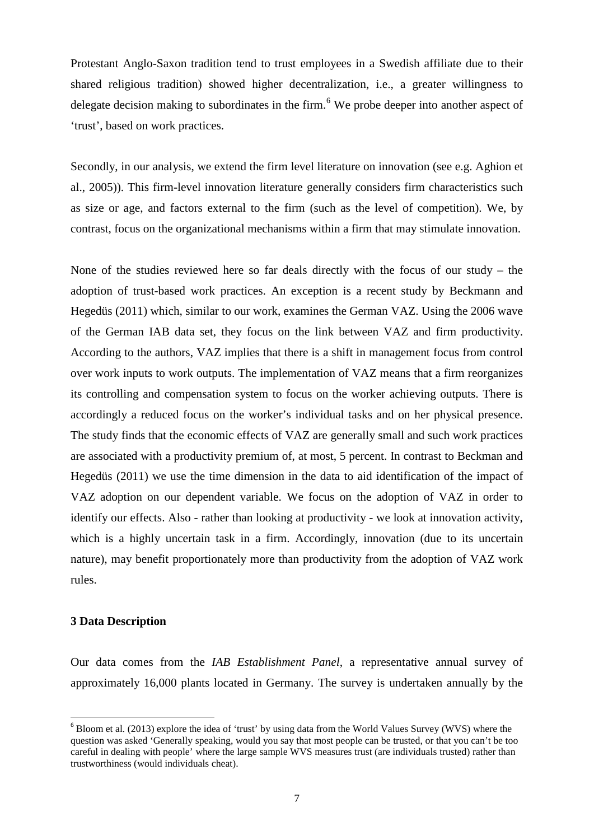Protestant Anglo-Saxon tradition tend to trust employees in a Swedish affiliate due to their shared religious tradition) showed higher decentralization, i.e., a greater willingness to delegate decision making to subordinates in the firm.<sup>[6](#page-7-1)</sup> We probe deeper into another aspect of 'trust', based on work practices.

Secondly, in our analysis, we extend the firm level literature on innovation (see e.g. Aghion et al., 2005)). This firm-level innovation literature generally considers firm characteristics such as size or age, and factors external to the firm (such as the level of competition). We, by contrast, focus on the organizational mechanisms within a firm that may stimulate innovation.

None of the studies reviewed here so far deals directly with the focus of our study – the adoption of trust-based work practices. An exception is a recent study by Beckmann and Hegedüs (2011) which, similar to our work, examines the German VAZ. Using the 2006 wave of the German IAB data set, they focus on the link between VAZ and firm productivity. According to the authors, VAZ implies that there is a shift in management focus from control over work inputs to work outputs. The implementation of VAZ means that a firm reorganizes its controlling and compensation system to focus on the worker achieving outputs. There is accordingly a reduced focus on the worker's individual tasks and on her physical presence. The study finds that the economic effects of VAZ are generally small and such work practices are associated with a productivity premium of, at most, 5 percent. In contrast to Beckman and Hegedüs (2011) we use the time dimension in the data to aid identification of the impact of VAZ adoption on our dependent variable. We focus on the adoption of VAZ in order to identify our effects. Also - rather than looking at productivity - we look at innovation activity, which is a highly uncertain task in a firm. Accordingly, innovation (due to its uncertain nature), may benefit proportionately more than productivity from the adoption of VAZ work rules.

#### **3 Data Description**

Our data comes from the *IAB Establishment Panel*, a representative annual survey of approximately 16,000 plants located in Germany. The survey is undertaken annually by the

<span id="page-8-0"></span><sup>&</sup>lt;sup>6</sup> Bloom et al. (2013) explore the idea of 'trust' by using data from the World Values Survey (WVS) where the question was asked 'Generally speaking, would you say that most people can be trusted, or that you can't be too careful in dealing with people' where the large sample WVS measures trust (are individuals trusted) rather than trustworthiness (would individuals cheat).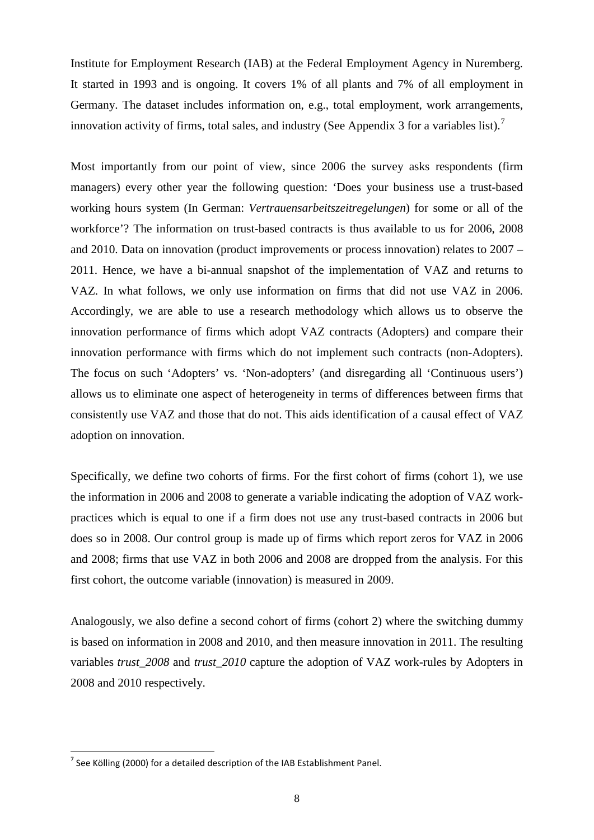Institute for Employment Research (IAB) at the Federal Employment Agency in Nuremberg. It started in 1993 and is ongoing. It covers 1% of all plants and 7% of all employment in Germany. The dataset includes information on, e.g., total employment, work arrangements, innovation activity of firms, total sales, and industry (See Appendix 3 for a variables list).<sup>[7](#page-8-0)</sup>

Most importantly from our point of view, since 2006 the survey asks respondents (firm managers) every other year the following question: 'Does your business use a trust-based working hours system (In German: *Vertrauensarbeitszeitregelungen*) for some or all of the workforce'? The information on trust-based contracts is thus available to us for 2006, 2008 and 2010. Data on innovation (product improvements or process innovation) relates to 2007 – 2011. Hence, we have a bi-annual snapshot of the implementation of VAZ and returns to VAZ. In what follows, we only use information on firms that did not use VAZ in 2006. Accordingly, we are able to use a research methodology which allows us to observe the innovation performance of firms which adopt VAZ contracts (Adopters) and compare their innovation performance with firms which do not implement such contracts (non-Adopters). The focus on such 'Adopters' vs. 'Non-adopters' (and disregarding all 'Continuous users') allows us to eliminate one aspect of heterogeneity in terms of differences between firms that consistently use VAZ and those that do not. This aids identification of a causal effect of VAZ adoption on innovation.

Specifically, we define two cohorts of firms. For the first cohort of firms (cohort 1), we use the information in 2006 and 2008 to generate a variable indicating the adoption of VAZ workpractices which is equal to one if a firm does not use any trust-based contracts in 2006 but does so in 2008. Our control group is made up of firms which report zeros for VAZ in 2006 and 2008; firms that use VAZ in both 2006 and 2008 are dropped from the analysis. For this first cohort, the outcome variable (innovation) is measured in 2009.

Analogously, we also define a second cohort of firms (cohort 2) where the switching dummy is based on information in 2008 and 2010, and then measure innovation in 2011. The resulting variables *trust\_2008* and *trust\_2010* capture the adoption of VAZ work-rules by Adopters in 2008 and 2010 respectively.

<span id="page-9-0"></span> $<sup>7</sup>$  See Kölling (2000) for a detailed description of the IAB Establishment Panel.</sup>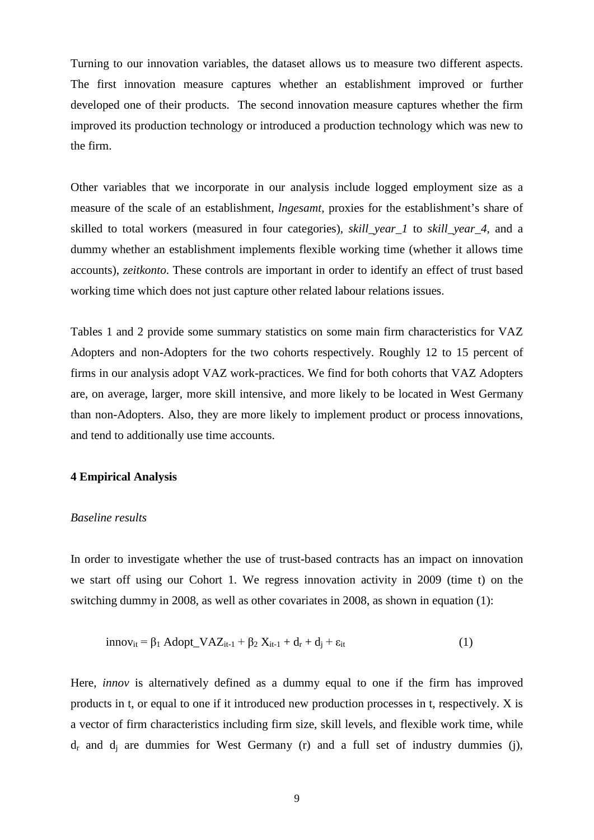Turning to our innovation variables, the dataset allows us to measure two different aspects. The first innovation measure captures whether an establishment improved or further developed one of their products. The second innovation measure captures whether the firm improved its production technology or introduced a production technology which was new to the firm.

Other variables that we incorporate in our analysis include logged employment size as a measure of the scale of an establishment, *lngesamt*, proxies for the establishment's share of skilled to total workers (measured in four categories), *skill\_year\_1* to *skill\_year\_4*, and a dummy whether an establishment implements flexible working time (whether it allows time accounts), *zeitkonto*. These controls are important in order to identify an effect of trust based working time which does not just capture other related labour relations issues.

Tables 1 and 2 provide some summary statistics on some main firm characteristics for VAZ Adopters and non-Adopters for the two cohorts respectively. Roughly 12 to 15 percent of firms in our analysis adopt VAZ work-practices. We find for both cohorts that VAZ Adopters are, on average, larger, more skill intensive, and more likely to be located in West Germany than non-Adopters. Also, they are more likely to implement product or process innovations, and tend to additionally use time accounts.

#### **4 Empirical Analysis**

#### *Baseline results*

In order to investigate whether the use of trust-based contracts has an impact on innovation we start off using our Cohort 1. We regress innovation activity in 2009 (time t) on the switching dummy in 2008, as well as other covariates in 2008, as shown in equation (1):

$$
innov_{it} = \beta_1 \text{Adopt\_VAZ}_{it-1} + \beta_2 X_{it-1} + d_r + d_j + \varepsilon_{it}
$$
\n(1)

Here, *innov* is alternatively defined as a dummy equal to one if the firm has improved products in t, or equal to one if it introduced new production processes in t, respectively. X is a vector of firm characteristics including firm size, skill levels, and flexible work time, while  $d_r$  and  $d_i$  are dummies for West Germany (r) and a full set of industry dummies (j),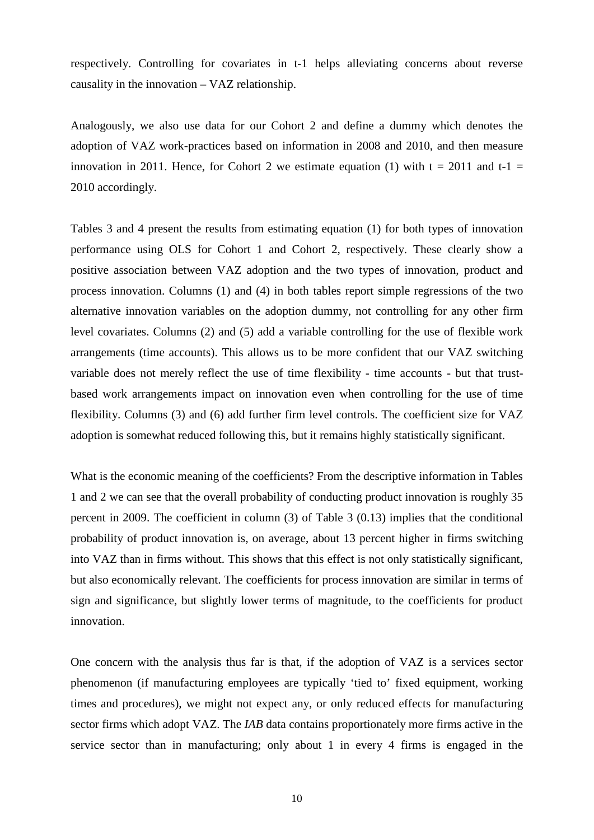respectively. Controlling for covariates in t-1 helps alleviating concerns about reverse causality in the innovation – VAZ relationship.

Analogously, we also use data for our Cohort 2 and define a dummy which denotes the adoption of VAZ work-practices based on information in 2008 and 2010, and then measure innovation in 2011. Hence, for Cohort 2 we estimate equation (1) with  $t = 2011$  and  $t-1 =$ 2010 accordingly.

Tables 3 and 4 present the results from estimating equation (1) for both types of innovation performance using OLS for Cohort 1 and Cohort 2, respectively. These clearly show a positive association between VAZ adoption and the two types of innovation, product and process innovation. Columns (1) and (4) in both tables report simple regressions of the two alternative innovation variables on the adoption dummy, not controlling for any other firm level covariates. Columns (2) and (5) add a variable controlling for the use of flexible work arrangements (time accounts). This allows us to be more confident that our VAZ switching variable does not merely reflect the use of time flexibility - time accounts - but that trustbased work arrangements impact on innovation even when controlling for the use of time flexibility. Columns (3) and (6) add further firm level controls. The coefficient size for VAZ adoption is somewhat reduced following this, but it remains highly statistically significant.

What is the economic meaning of the coefficients? From the descriptive information in Tables 1 and 2 we can see that the overall probability of conducting product innovation is roughly 35 percent in 2009. The coefficient in column (3) of Table 3 (0.13) implies that the conditional probability of product innovation is, on average, about 13 percent higher in firms switching into VAZ than in firms without. This shows that this effect is not only statistically significant, but also economically relevant. The coefficients for process innovation are similar in terms of sign and significance, but slightly lower terms of magnitude, to the coefficients for product innovation.

One concern with the analysis thus far is that, if the adoption of VAZ is a services sector phenomenon (if manufacturing employees are typically 'tied to' fixed equipment, working times and procedures), we might not expect any, or only reduced effects for manufacturing sector firms which adopt VAZ. The *IAB* data contains proportionately more firms active in the service sector than in manufacturing; only about 1 in every 4 firms is engaged in the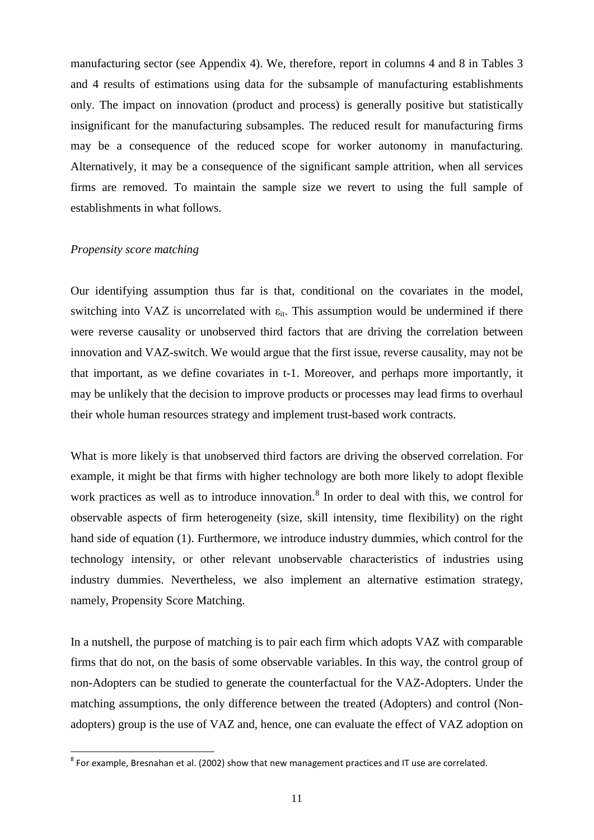manufacturing sector (see Appendix 4). We, therefore, report in columns 4 and 8 in Tables 3 and 4 results of estimations using data for the subsample of manufacturing establishments only. The impact on innovation (product and process) is generally positive but statistically insignificant for the manufacturing subsamples. The reduced result for manufacturing firms may be a consequence of the reduced scope for worker autonomy in manufacturing. Alternatively, it may be a consequence of the significant sample attrition, when all services firms are removed. To maintain the sample size we revert to using the full sample of establishments in what follows.

#### *Propensity score matching*

Our identifying assumption thus far is that, conditional on the covariates in the model, switching into VAZ is uncorrelated with  $\varepsilon_{it}$ . This assumption would be undermined if there were reverse causality or unobserved third factors that are driving the correlation between innovation and VAZ-switch. We would argue that the first issue, reverse causality, may not be that important, as we define covariates in t-1. Moreover, and perhaps more importantly, it may be unlikely that the decision to improve products or processes may lead firms to overhaul their whole human resources strategy and implement trust-based work contracts.

What is more likely is that unobserved third factors are driving the observed correlation. For example, it might be that firms with higher technology are both more likely to adopt flexible work practices as well as to introduce innovation. [8](#page-9-0) In order to deal with this, we control for observable aspects of firm heterogeneity (size, skill intensity, time flexibility) on the right hand side of equation (1). Furthermore, we introduce industry dummies, which control for the technology intensity, or other relevant unobservable characteristics of industries using industry dummies. Nevertheless, we also implement an alternative estimation strategy, namely, Propensity Score Matching.

<span id="page-12-0"></span>In a nutshell, the purpose of matching is to pair each firm which adopts VAZ with comparable firms that do not, on the basis of some observable variables. In this way, the control group of non-Adopters can be studied to generate the counterfactual for the VAZ-Adopters. Under the matching assumptions, the only difference between the treated (Adopters) and control (Nonadopters) group is the use of VAZ and, hence, one can evaluate the effect of VAZ adoption on

 $8$  For example, Bresnahan et al. (2002) show that new management practices and IT use are correlated.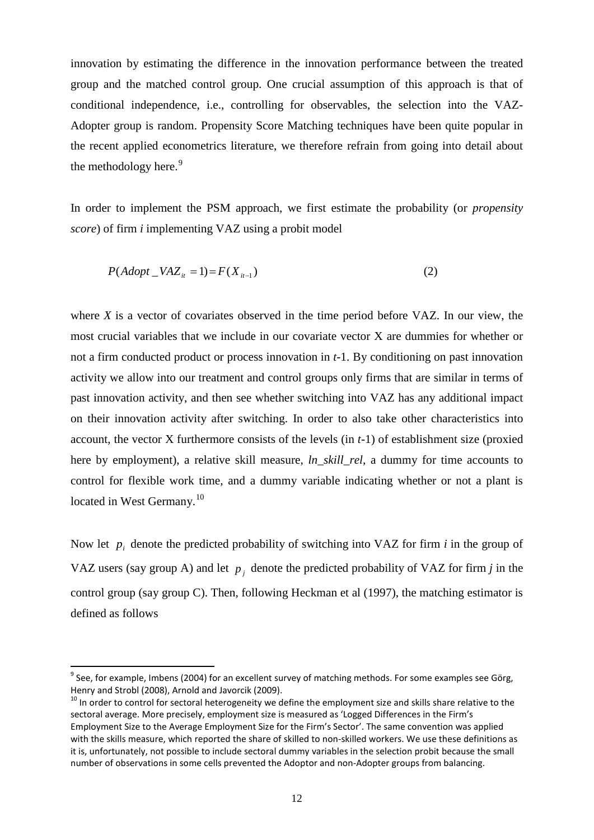innovation by estimating the difference in the innovation performance between the treated group and the matched control group. One crucial assumption of this approach is that of conditional independence, i.e., controlling for observables, the selection into the VAZ-Adopter group is random. Propensity Score Matching techniques have been quite popular in the recent applied econometrics literature, we therefore refrain from going into detail about the methodology here.<sup>[9](#page-12-0)</sup>

In order to implement the PSM approach, we first estimate the probability (or *propensity score*) of firm *i* implementing VAZ using a probit model

$$
P(Adopt\_VAZ_{it} = 1) = F(X_{it-1})
$$
\n<sup>(2)</sup>

where *X* is a vector of covariates observed in the time period before VAZ. In our view, the most crucial variables that we include in our covariate vector X are dummies for whether or not a firm conducted product or process innovation in *t*-1. By conditioning on past innovation activity we allow into our treatment and control groups only firms that are similar in terms of past innovation activity, and then see whether switching into VAZ has any additional impact on their innovation activity after switching. In order to also take other characteristics into account, the vector X furthermore consists of the levels (in *t*-1) of establishment size (proxied here by employment), a relative skill measure, *ln\_skill\_rel*, a dummy for time accounts to control for flexible work time, and a dummy variable indicating whether or not a plant is located in West Germany.<sup>[10](#page-13-0)</sup>

Now let  $p_i$  denote the predicted probability of switching into VAZ for firm  $i$  in the group of VAZ users (say group A) and let  $p_i$  denote the predicted probability of VAZ for firm *j* in the control group (say group C). Then, following Heckman et al (1997), the matching estimator is defined as follows

 $9^9$  See, for example, Imbens (2004) for an excellent survey of matching methods. For some examples see Görg, Henry and Strobl (2008), Arnold and Javorcik (2009).

<span id="page-13-1"></span><span id="page-13-0"></span> $10$  In order to control for sectoral heterogeneity we define the employment size and skills share relative to the sectoral average. More precisely, employment size is measured as 'Logged Differences in the Firm's Employment Size to the Average Employment Size for the Firm's Sector'. The same convention was applied with the skills measure, which reported the share of skilled to non-skilled workers. We use these definitions as it is, unfortunately, not possible to include sectoral dummy variables in the selection probit because the small number of observations in some cells prevented the Adoptor and non-Adopter groups from balancing.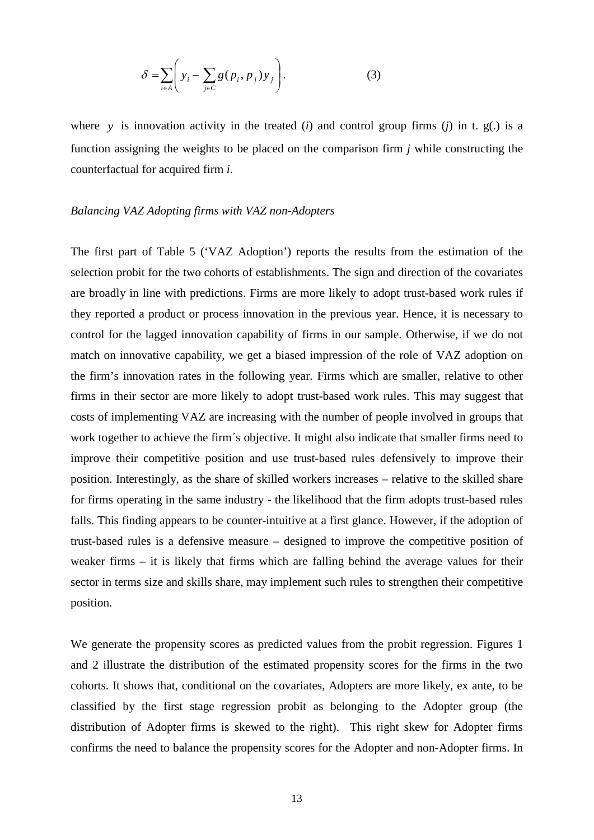$$
\delta = \sum_{i \in A} \left( y_i - \sum_{j \in C} g(p_i, p_j) y_j \right). \tag{3}
$$

where *y* is innovation activity in the treated (*i*) and control group firms (*j*) in t. g(*i*) is a function assigning the weights to be placed on the comparison firm *j* while constructing the counterfactual for acquired firm *i*.

#### *Balancing VAZ Adopting firms with VAZ non-Adopters*

The first part of Table 5 ('VAZ Adoption') reports the results from the estimation of the selection probit for the two cohorts of establishments. The sign and direction of the covariates are broadly in line with predictions. Firms are more likely to adopt trust-based work rules if they reported a product or process innovation in the previous year. Hence, it is necessary to control for the lagged innovation capability of firms in our sample. Otherwise, if we do not match on innovative capability, we get a biased impression of the role of VAZ adoption on the firm's innovation rates in the following year. Firms which are smaller, relative to other firms in their sector are more likely to adopt trust-based work rules. This may suggest that costs of implementing VAZ are increasing with the number of people involved in groups that work together to achieve the firm´s objective. It might also indicate that smaller firms need to improve their competitive position and use trust-based rules defensively to improve their position. Interestingly, as the share of skilled workers increases – relative to the skilled share for firms operating in the same industry - the likelihood that the firm adopts trust-based rules falls. This finding appears to be counter-intuitive at a first glance. However, if the adoption of trust-based rules is a defensive measure – designed to improve the competitive position of weaker firms – it is likely that firms which are falling behind the average values for their sector in terms size and skills share, may implement such rules to strengthen their competitive position.

We generate the propensity scores as predicted values from the probit regression. Figures 1 and 2 illustrate the distribution of the estimated propensity scores for the firms in the two cohorts. It shows that, conditional on the covariates, Adopters are more likely, ex ante, to be classified by the first stage regression probit as belonging to the Adopter group (the distribution of Adopter firms is skewed to the right). This right skew for Adopter firms confirms the need to balance the propensity scores for the Adopter and non-Adopter firms. In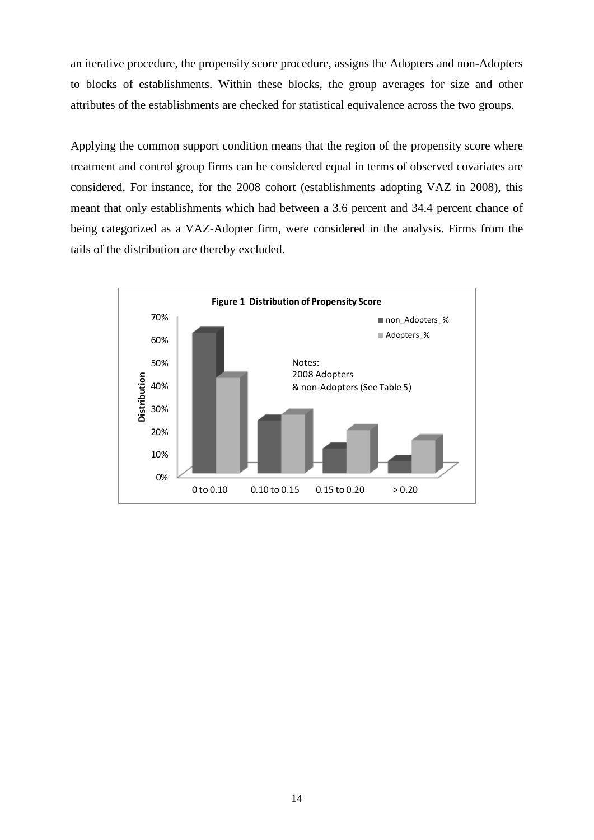an iterative procedure, the propensity score procedure, assigns the Adopters and non-Adopters to blocks of establishments. Within these blocks, the group averages for size and other attributes of the establishments are checked for statistical equivalence across the two groups.

Applying the common support condition means that the region of the propensity score where treatment and control group firms can be considered equal in terms of observed covariates are considered. For instance, for the 2008 cohort (establishments adopting VAZ in 2008), this meant that only establishments which had between a 3.6 percent and 34.4 percent chance of being categorized as a VAZ-Adopter firm, were considered in the analysis. Firms from the tails of the distribution are thereby excluded.

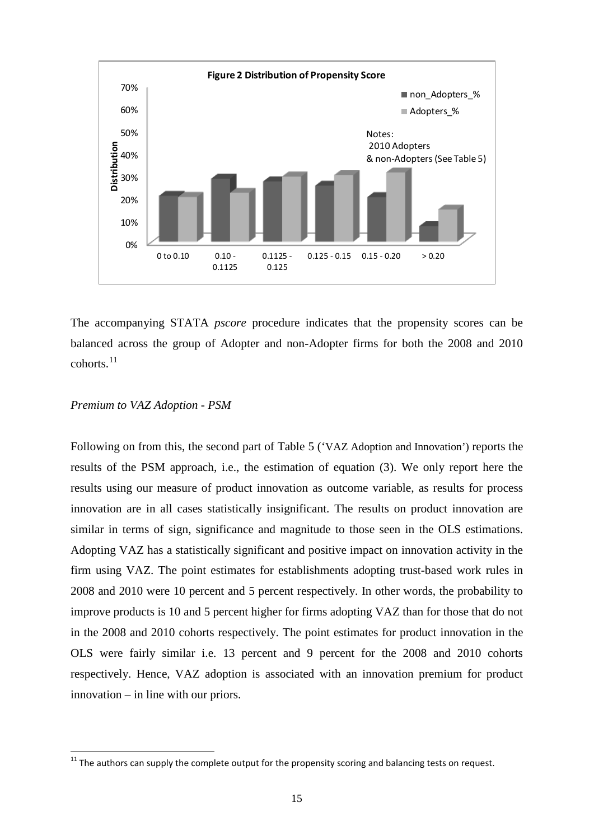

The accompanying STATA *pscore* procedure indicates that the propensity scores can be balanced across the group of Adopter and non-Adopter firms for both the 2008 and 2010 cohorts. [11](#page-13-1)

#### *Premium to VAZ Adoption - PSM*

Following on from this, the second part of Table 5 ('VAZ Adoption and Innovation') reports the results of the PSM approach, i.e., the estimation of equation (3). We only report here the results using our measure of product innovation as outcome variable, as results for process innovation are in all cases statistically insignificant. The results on product innovation are similar in terms of sign, significance and magnitude to those seen in the OLS estimations. Adopting VAZ has a statistically significant and positive impact on innovation activity in the firm using VAZ. The point estimates for establishments adopting trust-based work rules in 2008 and 2010 were 10 percent and 5 percent respectively. In other words, the probability to improve products is 10 and 5 percent higher for firms adopting VAZ than for those that do not in the 2008 and 2010 cohorts respectively. The point estimates for product innovation in the OLS were fairly similar i.e. 13 percent and 9 percent for the 2008 and 2010 cohorts respectively. Hence, VAZ adoption is associated with an innovation premium for product innovation – in line with our priors.

<span id="page-16-0"></span> $11$  The authors can supply the complete output for the propensity scoring and balancing tests on request.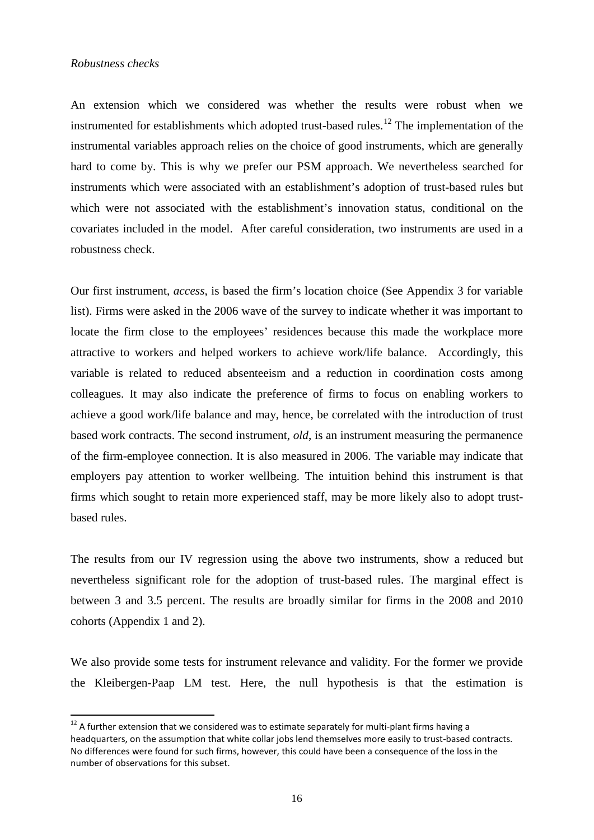#### *Robustness checks*

An extension which we considered was whether the results were robust when we instrumented for establishments which adopted trust-based rules.<sup>[12](#page-16-0)</sup> The implementation of the instrumental variables approach relies on the choice of good instruments, which are generally hard to come by. This is why we prefer our PSM approach. We nevertheless searched for instruments which were associated with an establishment's adoption of trust-based rules but which were not associated with the establishment's innovation status, conditional on the covariates included in the model. After careful consideration, two instruments are used in a robustness check.

Our first instrument, *access*, is based the firm's location choice (See Appendix 3 for variable list). Firms were asked in the 2006 wave of the survey to indicate whether it was important to locate the firm close to the employees' residences because this made the workplace more attractive to workers and helped workers to achieve work/life balance. Accordingly, this variable is related to reduced absenteeism and a reduction in coordination costs among colleagues. It may also indicate the preference of firms to focus on enabling workers to achieve a good work/life balance and may, hence, be correlated with the introduction of trust based work contracts. The second instrument, *old*, is an instrument measuring the permanence of the firm-employee connection. It is also measured in 2006. The variable may indicate that employers pay attention to worker wellbeing. The intuition behind this instrument is that firms which sought to retain more experienced staff, may be more likely also to adopt trustbased rules.

The results from our IV regression using the above two instruments, show a reduced but nevertheless significant role for the adoption of trust-based rules. The marginal effect is between 3 and 3.5 percent. The results are broadly similar for firms in the 2008 and 2010 cohorts (Appendix 1 and 2).

We also provide some tests for instrument relevance and validity. For the former we provide the Kleibergen-Paap LM test. Here, the null hypothesis is that the estimation is

 $12$  A further extension that we considered was to estimate separately for multi-plant firms having a headquarters, on the assumption that white collar jobs lend themselves more easily to trust-based contracts. No differences were found for such firms, however, this could have been a consequence of the loss in the number of observations for this subset.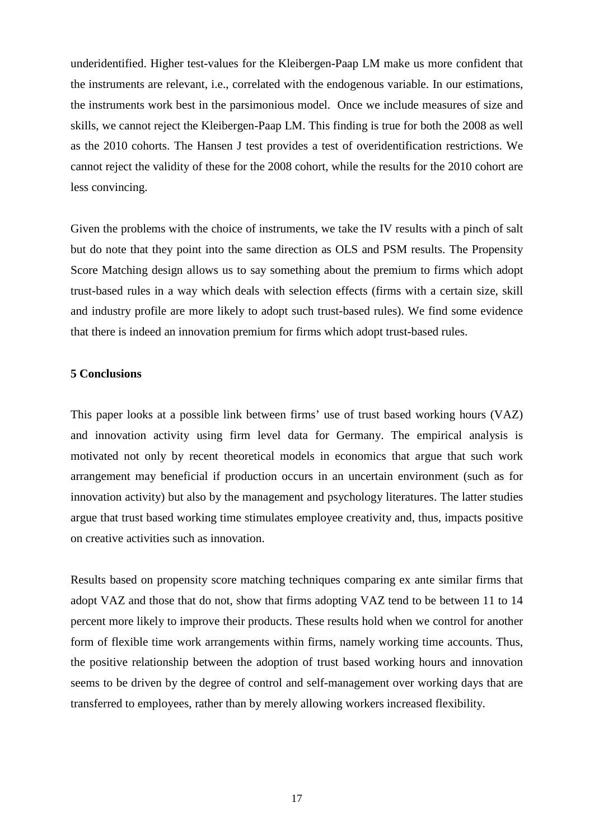underidentified. Higher test-values for the Kleibergen-Paap LM make us more confident that the instruments are relevant, i.e., correlated with the endogenous variable. In our estimations, the instruments work best in the parsimonious model. Once we include measures of size and skills, we cannot reject the Kleibergen-Paap LM. This finding is true for both the 2008 as well as the 2010 cohorts. The Hansen J test provides a test of overidentification restrictions. We cannot reject the validity of these for the 2008 cohort, while the results for the 2010 cohort are less convincing.

Given the problems with the choice of instruments, we take the IV results with a pinch of salt but do note that they point into the same direction as OLS and PSM results. The Propensity Score Matching design allows us to say something about the premium to firms which adopt trust-based rules in a way which deals with selection effects (firms with a certain size, skill and industry profile are more likely to adopt such trust-based rules). We find some evidence that there is indeed an innovation premium for firms which adopt trust-based rules.

#### **5 Conclusions**

This paper looks at a possible link between firms' use of trust based working hours (VAZ) and innovation activity using firm level data for Germany. The empirical analysis is motivated not only by recent theoretical models in economics that argue that such work arrangement may beneficial if production occurs in an uncertain environment (such as for innovation activity) but also by the management and psychology literatures. The latter studies argue that trust based working time stimulates employee creativity and, thus, impacts positive on creative activities such as innovation.

Results based on propensity score matching techniques comparing ex ante similar firms that adopt VAZ and those that do not, show that firms adopting VAZ tend to be between 11 to 14 percent more likely to improve their products. These results hold when we control for another form of flexible time work arrangements within firms, namely working time accounts. Thus, the positive relationship between the adoption of trust based working hours and innovation seems to be driven by the degree of control and self-management over working days that are transferred to employees, rather than by merely allowing workers increased flexibility.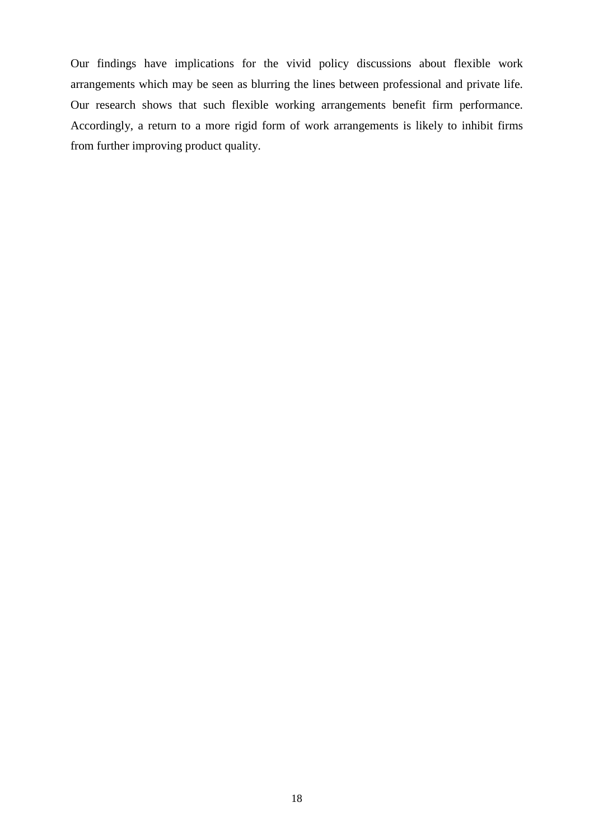Our findings have implications for the vivid policy discussions about flexible work arrangements which may be seen as blurring the lines between professional and private life. Our research shows that such flexible working arrangements benefit firm performance. Accordingly, a return to a more rigid form of work arrangements is likely to inhibit firms from further improving product quality.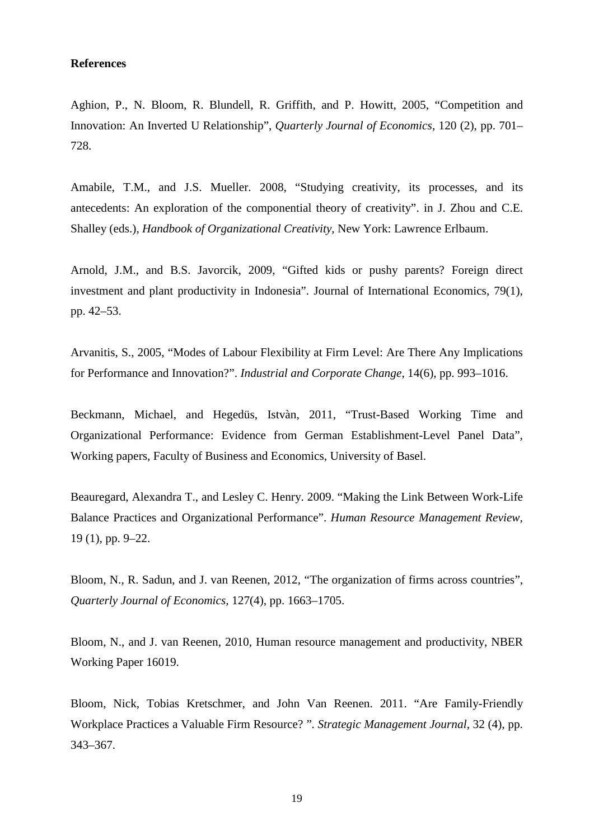#### **References**

Aghion, P., N. Bloom, R. Blundell, R. Griffith, and P. Howitt, 2005, ["Competition and](http://www.stanford.edu/~nbloom/PevertedU.pdf)  [Innovation: An Inverted U Relationship"](http://www.stanford.edu/~nbloom/PevertedU.pdf), *Quarterly Journal of Economics*, 120 (2), pp. 701– 728.

Amabile, T.M., and J.S. Mueller. 2008, "Studying creativity, its processes, and its antecedents: An exploration of the componential theory of creativity". in J. Zhou and C.E. Shalley (eds.), *Handbook of Organizational Creativity*, New York: Lawrence Erlbaum.

Arnold, J.M., and B.S. Javorcik, 2009, ["Gifted kids or pushy parents? Foreign direct](http://ideas.repec.org/a/eee/inecon/v79y2009i1p42-53.html)  [investment and plant productivity in Indonesia"](http://ideas.repec.org/a/eee/inecon/v79y2009i1p42-53.html). [Journal of International Economics,](http://ideas.repec.org/s/eee/inecon.html) 79(1), pp. 42–53.

Arvanitis, S., 2005, "Modes of Labour Flexibility at Firm Level: Are There Any Implications for Performance and Innovation?". *Industrial and Corporate Change*, 14(6), pp. 993–1016.

Beckmann, Michael, and Hegedüs, Istvàn, 2011, "Trust-Based Working Time and Organizational Performance: Evidence from German Establishment-Level Panel Data", Working papers, Faculty of Business and Economics, University of Basel.

Beauregard, Alexandra T., and Lesley C. Henry. 2009. "Making the Link Between Work-Life Balance Practices and Organizational Performance". *Human Resource Management Review*, 19 (1), pp. 9–22.

Bloom, N., R. Sadun, and J. van Reenen, 2012, ["The organization of firms across countries"](http://www.stanford.edu/~nbloom/org_2012.pdf), *Quarterly Journal of Economics*, 127(4), pp. 1663–1705.

Bloom, N., and J. van Reenen, 2010, [Human resource management and productivity,](http://www.stanford.edu/~nbloom/w16019.pdf) NBER Working Paper 16019.

Bloom, Nick, Tobias Kretschmer, and John Van Reenen. 2011. "Are Family-Friendly Workplace Practices a Valuable Firm Resource? ". *Strategic Management Journal*, 32 (4), pp. 343–367.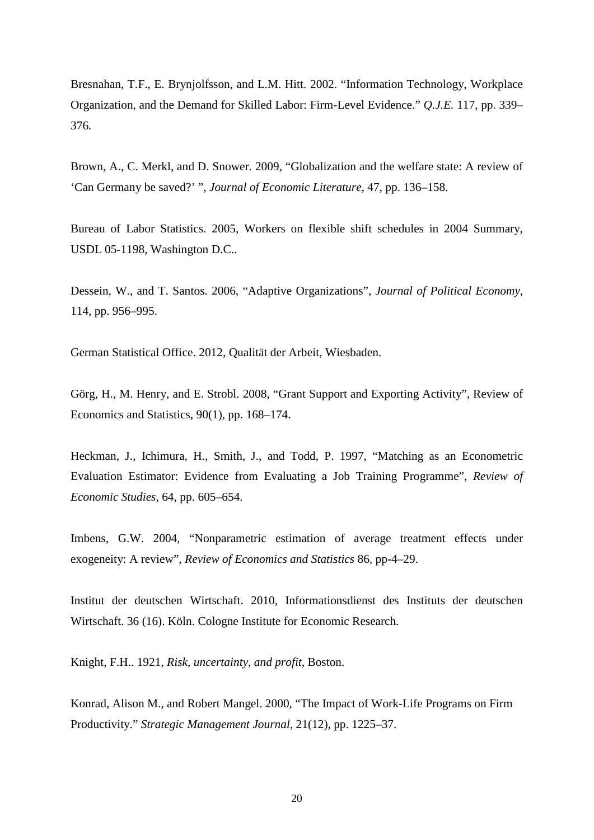Bresnahan, T.F., E. Brynjolfsson, and L.M. Hitt. 2002. "Information Technology, Workplace Organization, and the Demand for Skilled Labor: Firm-Level Evidence." *Q.J.E.* 117, pp. 339– 376.

Brown, A., C. Merkl, and D. Snower. 2009, "Globalization and the welfare state: A review of 'Can Germany be saved?' ", *Journal of Economic Literature*, 47, pp. 136–158.

Bureau of Labor Statistics. 2005, Workers on flexible shift schedules in 2004 Summary, USDL 05-1198, Washington D.C..

Dessein, W., and T. Santos. 2006, "Adaptive Organizations", *Journal of Political Economy*, 114, pp. 956–995.

German Statistical Office. 2012, Qualität der Arbeit, Wiesbaden.

Görg, H., M. Henry, and E. Strobl. 2008, ["Grant Support and Exporting Activity"](http://ideas.repec.org/a/tpr/restat/v90y2008i1p168-174.html), [Review of](http://ideas.repec.org/s/tpr/restat.html)  [Economics and Statistics,](http://ideas.repec.org/s/tpr/restat.html) 90(1), pp. 168–174.

Heckman, J., Ichimura, H., Smith, J., and Todd, P. 1997, "Matching as an Econometric Evaluation Estimator: Evidence from Evaluating a Job Training Programme", *Review of Economic Studies*, 64, pp. 605–654.

Imbens, G.W. 2004, "Nonparametric estimation of average treatment effects under exogeneity: A review", *Review of Economics and Statistics* 86, pp-4–29.

Institut der deutschen Wirtschaft. 2010, Informationsdienst des Instituts der deutschen Wirtschaft. 36 (16). Köln. Cologne Institute for Economic Research.

Knight, F.H.. 1921, *Risk, uncertainty, and profit*, Boston.

Konrad, Alison M., and Robert Mangel. 2000, "The Impact of Work-Life Programs on Firm Productivity." *Strategic Management Journal*, 21(12), pp. 1225–37.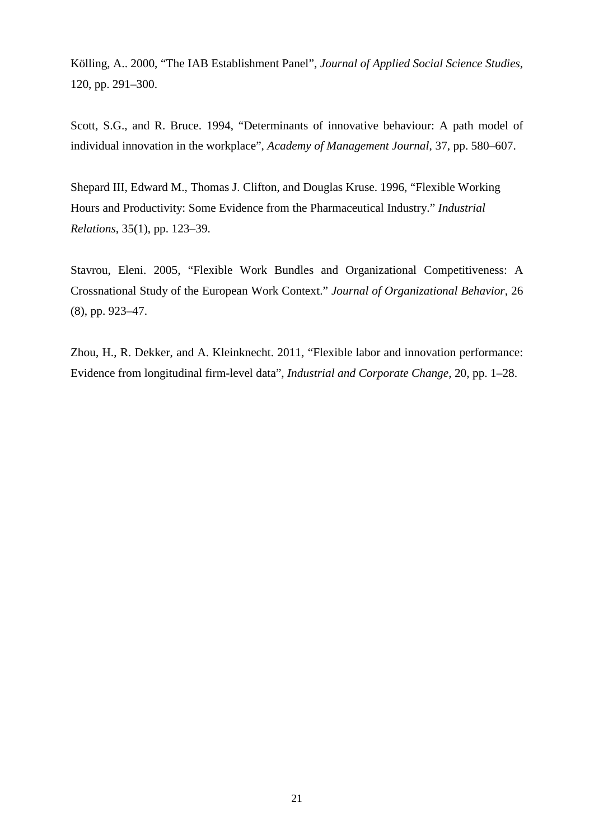Kölling, A.. 2000, "The IAB Establishment Panel", *Journal of Applied Social Science Studies*, 120, pp. 291–300.

Scott, S.G., and R. Bruce. 1994, "Determinants of innovative behaviour: A path model of individual innovation in the workplace", *Academy of Management Journal*, 37, pp. 580–607.

Shepard III, Edward M., Thomas J. Clifton, and Douglas Kruse. 1996, "Flexible Working Hours and Productivity: Some Evidence from the Pharmaceutical Industry." *Industrial Relations*, 35(1), pp. 123–39.

Stavrou, Eleni. 2005, "Flexible Work Bundles and Organizational Competitiveness: A Crossnational Study of the European Work Context." *Journal of Organizational Behavior*, 26 (8), pp. 923–47.

Zhou, H., R. Dekker, and A. Kleinknecht. 2011, "Flexible labor and innovation performance: Evidence from longitudinal firm-level data", *Industrial and Corporate Change*, 20, pp. 1–28.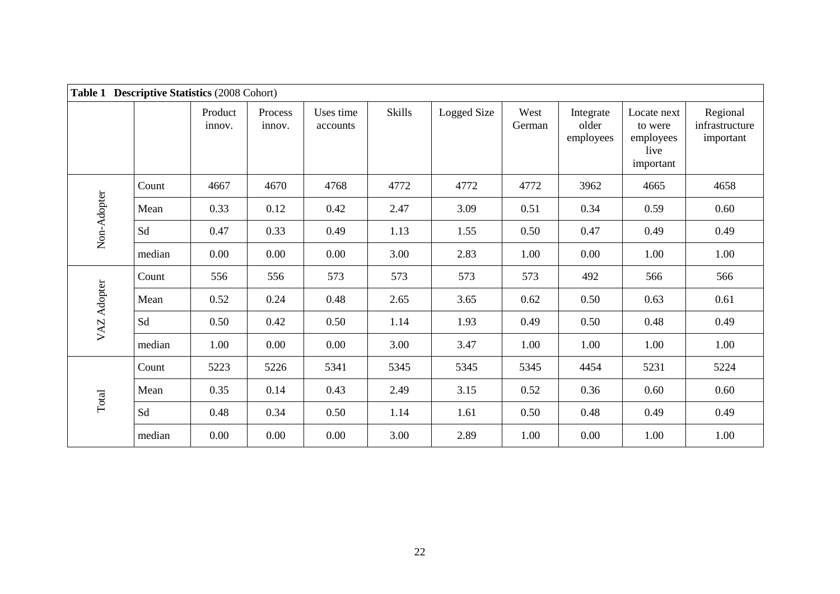| <b>Table 1</b> | <b>Descriptive Statistics (2008 Cohort)</b> |                   |                   |                       |        |             |                |                                 |                                                          |                                         |
|----------------|---------------------------------------------|-------------------|-------------------|-----------------------|--------|-------------|----------------|---------------------------------|----------------------------------------------------------|-----------------------------------------|
|                |                                             | Product<br>innov. | Process<br>innov. | Uses time<br>accounts | Skills | Logged Size | West<br>German | Integrate<br>older<br>employees | Locate next<br>to were<br>employees<br>live<br>important | Regional<br>infrastructure<br>important |
|                | Count                                       | 4667              | 4670              | 4768                  | 4772   | 4772        | 4772           | 3962                            | 4665                                                     | 4658                                    |
|                | Mean                                        | 0.33              | 0.12              | 0.42                  | 2.47   | 3.09        | 0.51           | 0.34                            | 0.59                                                     | 0.60                                    |
| Non-Adopter    | Sd                                          | 0.47              | 0.33              | 0.49                  | 1.13   | 1.55        | 0.50           | 0.47                            | 0.49                                                     | 0.49                                    |
|                | median                                      | 0.00              | 0.00              | 0.00                  | 3.00   | 2.83        | 1.00           | 0.00                            | 1.00                                                     | 1.00                                    |
|                | Count                                       | 556               | 556               | 573                   | 573    | 573         | 573            | 492                             | 566                                                      | 566                                     |
|                | Mean                                        | 0.52              | 0.24              | 0.48                  | 2.65   | 3.65        | 0.62           | 0.50                            | 0.63                                                     | 0.61                                    |
| VAZ Adopter    | Sd                                          | 0.50              | 0.42              | 0.50                  | 1.14   | 1.93        | 0.49           | 0.50                            | 0.48                                                     | 0.49                                    |
|                | median                                      | 1.00              | 0.00              | 0.00                  | 3.00   | 3.47        | 1.00           | 1.00                            | 1.00                                                     | 1.00                                    |
|                | Count                                       | 5223              | 5226              | 5341                  | 5345   | 5345        | 5345           | 4454                            | 5231                                                     | 5224                                    |
|                | Mean                                        | 0.35              | 0.14              | 0.43                  | 2.49   | 3.15        | 0.52           | 0.36                            | 0.60                                                     | 0.60                                    |
| Total          | Sd                                          | 0.48              | 0.34              | 0.50                  | 1.14   | 1.61        | 0.50           | 0.48                            | 0.49                                                     | 0.49                                    |
|                | median                                      | 0.00              | 0.00              | 0.00                  | 3.00   | 2.89        | 1.00           | 0.00                            | 1.00                                                     | 1.00                                    |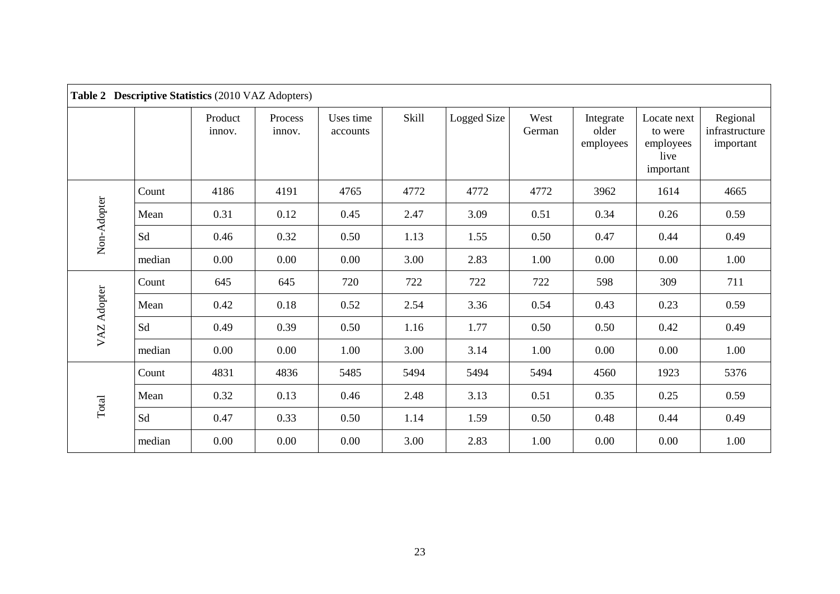|             |        | Table 2 Descriptive Statistics (2010 VAZ Adopters) |                   |                       |              |             |                |                                 |                                                          |                                         |
|-------------|--------|----------------------------------------------------|-------------------|-----------------------|--------------|-------------|----------------|---------------------------------|----------------------------------------------------------|-----------------------------------------|
|             |        | Product<br>innov.                                  | Process<br>innov. | Uses time<br>accounts | <b>Skill</b> | Logged Size | West<br>German | Integrate<br>older<br>employees | Locate next<br>to were<br>employees<br>live<br>important | Regional<br>infrastructure<br>important |
|             | Count  | 4186                                               | 4191              | 4765                  | 4772         | 4772        | 4772           | 3962                            | 1614                                                     | 4665                                    |
| Non-Adopter | Mean   | 0.31                                               | 0.12              | 0.45                  | 2.47         | 3.09        | 0.51           | 0.34                            | 0.26                                                     | 0.59                                    |
|             | Sd     | 0.46                                               | 0.32              | 0.50                  | 1.13         | 1.55        | 0.50           | 0.47                            | 0.44                                                     | 0.49                                    |
|             | median | 0.00                                               | 0.00              | 0.00                  | 3.00         | 2.83        | 1.00           | 0.00                            | 0.00                                                     | 1.00                                    |
|             | Count  | 645                                                | 645               | 720                   | 722          | 722         | 722            | 598                             | 309                                                      | 711                                     |
|             | Mean   | 0.42                                               | 0.18              | 0.52                  | 2.54         | 3.36        | 0.54           | 0.43                            | 0.23                                                     | 0.59                                    |
| VAZ Adopter | Sd     | 0.49                                               | 0.39              | 0.50                  | 1.16         | 1.77        | 0.50           | 0.50                            | 0.42                                                     | 0.49                                    |
|             | median | 0.00                                               | 0.00              | 1.00                  | 3.00         | 3.14        | 1.00           | 0.00                            | 0.00                                                     | 1.00                                    |
|             | Count  | 4831                                               | 4836              | 5485                  | 5494         | 5494        | 5494           | 4560                            | 1923                                                     | 5376                                    |
|             | Mean   | 0.32                                               | 0.13              | 0.46                  | 2.48         | 3.13        | 0.51           | 0.35                            | 0.25                                                     | 0.59                                    |
| Total       | Sd     | 0.47                                               | 0.33              | 0.50                  | 1.14         | 1.59        | 0.50           | 0.48                            | 0.44                                                     | 0.49                                    |
|             | median | 0.00                                               | 0.00              | 0.00                  | 3.00         | 2.83        | 1.00           | 0.00                            | 0.00                                                     | 1.00                                    |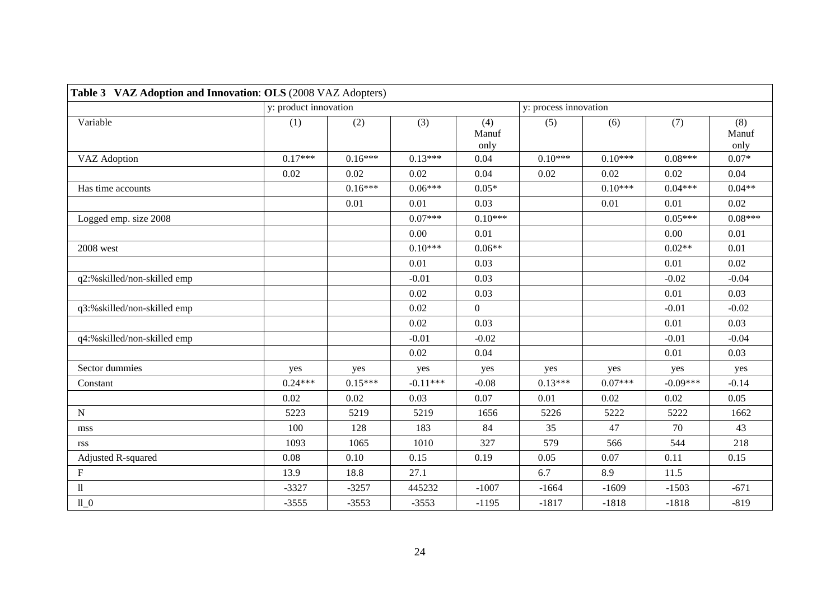| Table 3 VAZ Adoption and Innovation: OLS (2008 VAZ Adopters) |                       |           |            |                      |                       |           |            |                      |
|--------------------------------------------------------------|-----------------------|-----------|------------|----------------------|-----------------------|-----------|------------|----------------------|
|                                                              | y: product innovation |           |            |                      | y: process innovation |           |            |                      |
| Variable                                                     | (1)                   | (2)       | (3)        | (4)<br>Manuf<br>only | (5)                   | (6)       | (7)        | (8)<br>Manuf<br>only |
| <b>VAZ</b> Adoption                                          | $0.17***$             | $0.16***$ | $0.13***$  | 0.04                 | $0.10***$             | $0.10***$ | $0.08***$  | $0.07*$              |
|                                                              | 0.02                  | 0.02      | 0.02       | 0.04                 | 0.02                  | 0.02      | 0.02       | 0.04                 |
| Has time accounts                                            |                       | $0.16***$ | $0.06***$  | $0.05*$              |                       | $0.10***$ | $0.04***$  | $0.04**$             |
|                                                              |                       | 0.01      | 0.01       | 0.03                 |                       | 0.01      | 0.01       | 0.02                 |
| Logged emp. size 2008                                        |                       |           | $0.07***$  | $0.10***$            |                       |           | $0.05***$  | $0.08***$            |
|                                                              |                       |           | 0.00       | 0.01                 |                       |           | 0.00       | 0.01                 |
| 2008 west                                                    |                       |           | $0.10***$  | $0.06**$             |                       |           | $0.02**$   | 0.01                 |
|                                                              |                       |           | 0.01       | 0.03                 |                       |           | 0.01       | 0.02                 |
| q2:%skilled/non-skilled emp                                  |                       |           | $-0.01$    | 0.03                 |                       |           | $-0.02$    | $-0.04$              |
|                                                              |                       |           | 0.02       | 0.03                 |                       |           | 0.01       | 0.03                 |
| q3:%skilled/non-skilled emp                                  |                       |           | 0.02       | $\overline{0}$       |                       |           | $-0.01$    | $-0.02$              |
|                                                              |                       |           | 0.02       | 0.03                 |                       |           | 0.01       | 0.03                 |
| q4:%skilled/non-skilled emp                                  |                       |           | $-0.01$    | $-0.02$              |                       |           | $-0.01$    | $-0.04$              |
|                                                              |                       |           | 0.02       | 0.04                 |                       |           | 0.01       | 0.03                 |
| Sector dummies                                               | yes                   | yes       | yes        | yes                  | yes                   | yes       | yes        | yes                  |
| Constant                                                     | $0.24***$             | $0.15***$ | $-0.11***$ | $-0.08$              | $0.13***$             | $0.07***$ | $-0.09***$ | $-0.14$              |
|                                                              | 0.02                  | 0.02      | 0.03       | 0.07                 | 0.01                  | 0.02      | 0.02       | 0.05                 |
| ${\bf N}$                                                    | 5223                  | 5219      | 5219       | 1656                 | 5226                  | 5222      | 5222       | 1662                 |
| mss                                                          | 100                   | 128       | 183        | 84                   | 35                    | 47        | 70         | 43                   |
| rss                                                          | 1093                  | 1065      | 1010       | 327                  | 579                   | 566       | 544        | 218                  |
| Adjusted R-squared                                           | 0.08                  | 0.10      | 0.15       | 0.19                 | 0.05                  | 0.07      | 0.11       | 0.15                 |
| ${\bf F}$                                                    | 13.9                  | 18.8      | 27.1       |                      | 6.7                   | 8.9       | 11.5       |                      |
| $\rm ll$                                                     | $-3327$               | $-3257$   | 445232     | $-1007$              | $-1664$               | $-1609$   | $-1503$    | $-671$               |
| 110                                                          | $-3555$               | $-3553$   | $-3553$    | $-1195$              | $-1817$               | $-1818$   | $-1818$    | $-819$               |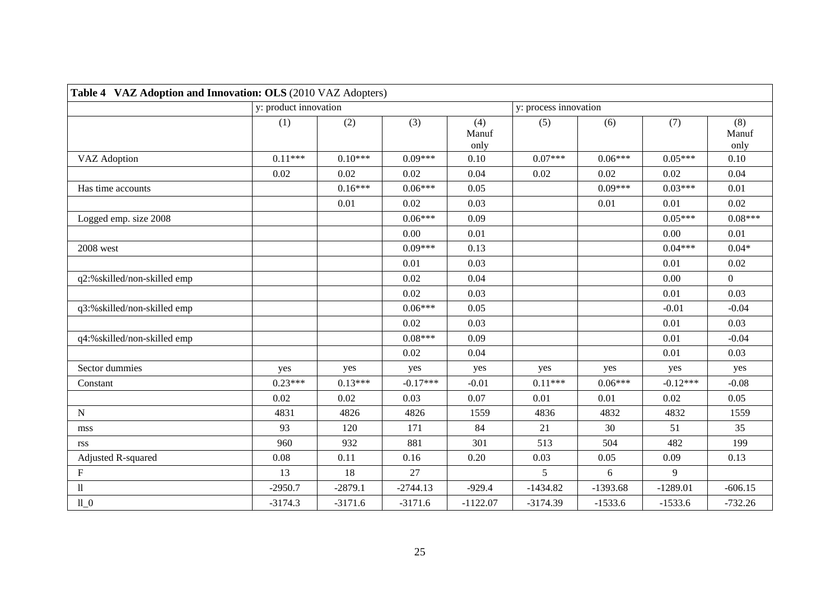| Table 4 VAZ Adoption and Innovation: OLS (2010 VAZ Adopters) |                       |           |            |                      |                       |            |            |                      |
|--------------------------------------------------------------|-----------------------|-----------|------------|----------------------|-----------------------|------------|------------|----------------------|
|                                                              | y: product innovation |           |            |                      | y: process innovation |            |            |                      |
|                                                              | (1)                   | (2)       | (3)        | (4)<br>Manuf<br>only | (5)                   | (6)        | (7)        | (8)<br>Manuf<br>only |
| VAZ Adoption                                                 | $0.11***$             | $0.10***$ | $0.09***$  | 0.10                 | $0.07***$             | $0.06***$  | $0.05***$  | 0.10                 |
|                                                              | 0.02                  | 0.02      | 0.02       | 0.04                 | 0.02                  | 0.02       | 0.02       | 0.04                 |
| Has time accounts                                            |                       | $0.16***$ | $0.06***$  | 0.05                 |                       | $0.09***$  | $0.03***$  | 0.01                 |
|                                                              |                       | 0.01      | 0.02       | 0.03                 |                       | 0.01       | 0.01       | 0.02                 |
| Logged emp. size 2008                                        |                       |           | $0.06***$  | 0.09                 |                       |            | $0.05***$  | $0.08***$            |
|                                                              |                       |           | 0.00       | 0.01                 |                       |            | 0.00       | 0.01                 |
| 2008 west                                                    |                       |           | $0.09***$  | 0.13                 |                       |            | $0.04***$  | $0.04*$              |
|                                                              |                       |           | 0.01       | 0.03                 |                       |            | 0.01       | 0.02                 |
| q2:%skilled/non-skilled emp                                  |                       |           | 0.02       | 0.04                 |                       |            | 0.00       | $\overline{0}$       |
|                                                              |                       |           | 0.02       | 0.03                 |                       |            | 0.01       | 0.03                 |
| q3:%skilled/non-skilled emp                                  |                       |           | $0.06***$  | 0.05                 |                       |            | $-0.01$    | $-0.04$              |
|                                                              |                       |           | 0.02       | 0.03                 |                       |            | 0.01       | 0.03                 |
| q4:%skilled/non-skilled emp                                  |                       |           | $0.08***$  | 0.09                 |                       |            | 0.01       | $-0.04$              |
|                                                              |                       |           | 0.02       | 0.04                 |                       |            | 0.01       | 0.03                 |
| Sector dummies                                               | yes                   | yes       | yes        | yes                  | yes                   | yes        | yes        | yes                  |
| Constant                                                     | $0.23***$             | $0.13***$ | $-0.17***$ | $-0.01$              | $0.11***$             | $0.06***$  | $-0.12***$ | $-0.08$              |
|                                                              | 0.02                  | 0.02      | 0.03       | 0.07                 | 0.01                  | 0.01       | 0.02       | 0.05                 |
| ${\bf N}$                                                    | 4831                  | 4826      | 4826       | 1559                 | 4836                  | 4832       | 4832       | 1559                 |
| mss                                                          | 93                    | 120       | 171        | 84                   | 21                    | 30         | 51         | 35                   |
| rss                                                          | 960                   | 932       | 881        | 301                  | 513                   | 504        | 482        | 199                  |
| Adjusted R-squared                                           | 0.08                  | 0.11      | 0.16       | 0.20                 | 0.03                  | 0.05       | 0.09       | 0.13                 |
| ${\bf F}$                                                    | 13                    | 18        | 27         |                      | 5                     | 6          | 9          |                      |
| $\rm ll$                                                     | $-2950.7$             | $-2879.1$ | $-2744.13$ | $-929.4$             | $-1434.82$            | $-1393.68$ | $-1289.01$ | $-606.15$            |
| 110                                                          | $-3174.3$             | $-3171.6$ | $-3171.6$  | $-1122.07$           | $-3174.39$            | $-1533.6$  | $-1533.6$  | $-732.26$            |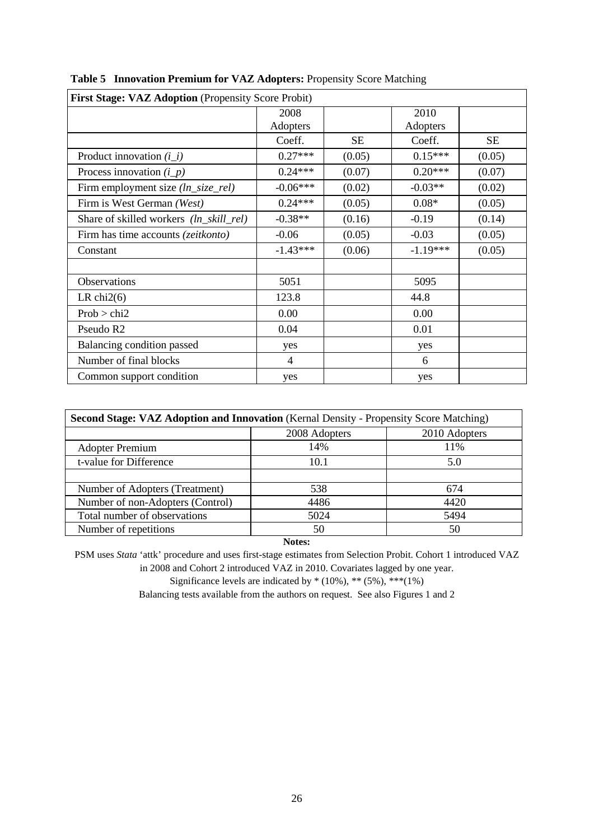| First Stage: VAZ Adoption (Propensity Score Probit) |            |           |            |           |
|-----------------------------------------------------|------------|-----------|------------|-----------|
|                                                     | 2008       |           | 2010       |           |
|                                                     | Adopters   |           | Adopters   |           |
|                                                     | Coeff.     | <b>SE</b> | Coeff.     | <b>SE</b> |
| Product innovation $(i$ <i>_i</i> )                 | $0.27***$  | (0.05)    | $0.15***$  | (0.05)    |
| Process innovation $(i_p)$                          | $0.24***$  | (0.07)    | $0.20***$  | (0.07)    |
| Firm employment size (ln_size_rel)                  | $-0.06***$ | (0.02)    | $-0.03**$  | (0.02)    |
| Firm is West German (West)                          | $0.24***$  | (0.05)    | $0.08*$    | (0.05)    |
| Share of skilled workers (ln_skill_rel)             | $-0.38**$  | (0.16)    | $-0.19$    | (0.14)    |
| Firm has time accounts ( <i>zeitkonto</i> )         | $-0.06$    | (0.05)    | $-0.03$    | (0.05)    |
| Constant                                            | $-1.43***$ | (0.06)    | $-1.19***$ | (0.05)    |
|                                                     |            |           |            |           |
| Observations                                        | 5051       |           | 5095       |           |
| LR chi $2(6)$                                       | 123.8      |           | 44.8       |           |
| Prob > chi2                                         | 0.00       |           | 0.00       |           |
| Pseudo R <sub>2</sub>                               | 0.04       |           | 0.01       |           |
| Balancing condition passed                          | yes        |           | yes        |           |
| Number of final blocks                              | 4          |           | 6          |           |
| Common support condition                            | yes        |           | yes        |           |

| Table 5 Innovation Premium for VAZ Adopters: Propensity Score Matching |  |  |  |
|------------------------------------------------------------------------|--|--|--|
|                                                                        |  |  |  |

| Second Stage: VAZ Adoption and Innovation (Kernal Density - Propensity Score Matching) |      |      |  |  |  |  |  |
|----------------------------------------------------------------------------------------|------|------|--|--|--|--|--|
| 2010 Adopters<br>2008 Adopters                                                         |      |      |  |  |  |  |  |
| <b>Adopter Premium</b>                                                                 | 14%  | 11%  |  |  |  |  |  |
| t-value for Difference                                                                 | 10.1 | 5.0  |  |  |  |  |  |
|                                                                                        |      |      |  |  |  |  |  |
| Number of Adopters (Treatment)                                                         | 538  | 674  |  |  |  |  |  |
| Number of non-Adopters (Control)                                                       | 4486 | 4420 |  |  |  |  |  |
| Total number of observations                                                           | 5024 | 5494 |  |  |  |  |  |
| Number of repetitions                                                                  | 50   | 50   |  |  |  |  |  |
|                                                                                        |      |      |  |  |  |  |  |

**Notes:**

PSM uses *Stata* 'attk' procedure and uses first-stage estimates from Selection Probit. Cohort 1 introduced VAZ in 2008 and Cohort 2 introduced VAZ in 2010. Covariates lagged by one year.

Significance levels are indicated by  $*(10\%),$  \*\*  $(5\%),$  \*\*\* $(1\%)$ 

Balancing tests available from the authors on request. See also Figures 1 and 2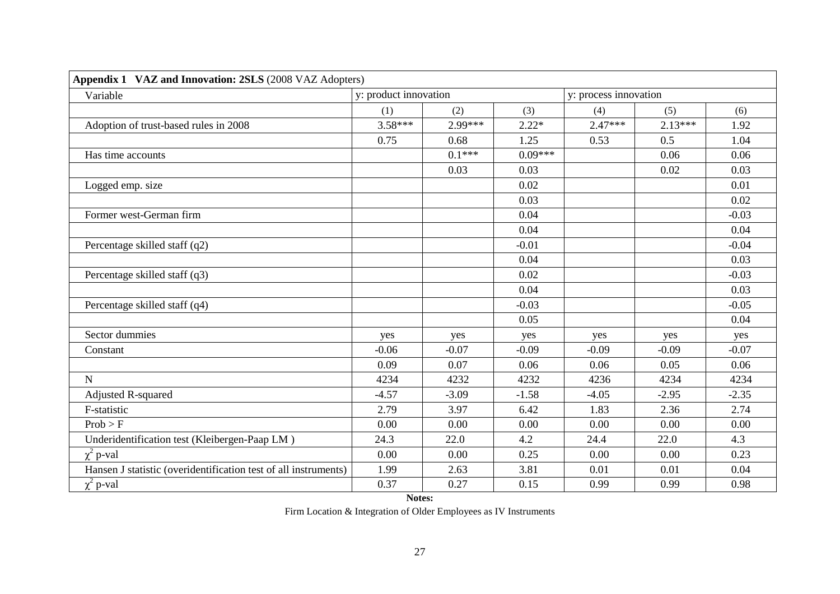| Appendix 1 VAZ and Innovation: 2SLS (2008 VAZ Adopters)         |                       |          |           |                       |           |         |
|-----------------------------------------------------------------|-----------------------|----------|-----------|-----------------------|-----------|---------|
| Variable                                                        | y: product innovation |          |           | y: process innovation |           |         |
|                                                                 | (1)                   | (2)      | (3)       | (4)                   | (5)       | (6)     |
| Adoption of trust-based rules in 2008                           | $3.58***$             | 2.99***  | $2.22*$   | $2.47***$             | $2.13***$ | 1.92    |
|                                                                 | 0.75                  | 0.68     | 1.25      | 0.53                  | 0.5       | 1.04    |
| Has time accounts                                               |                       | $0.1***$ | $0.09***$ |                       | 0.06      | 0.06    |
|                                                                 |                       | 0.03     | 0.03      |                       | 0.02      | 0.03    |
| Logged emp. size                                                |                       |          | 0.02      |                       |           | 0.01    |
|                                                                 |                       |          | 0.03      |                       |           | 0.02    |
| Former west-German firm                                         |                       |          | 0.04      |                       |           | $-0.03$ |
|                                                                 |                       |          | 0.04      |                       |           | 0.04    |
| Percentage skilled staff (q2)                                   |                       |          | $-0.01$   |                       |           | $-0.04$ |
|                                                                 |                       |          | 0.04      |                       |           | 0.03    |
| Percentage skilled staff (q3)                                   |                       |          | 0.02      |                       |           | $-0.03$ |
|                                                                 |                       |          | 0.04      |                       |           | 0.03    |
| Percentage skilled staff (q4)                                   |                       |          | $-0.03$   |                       |           | $-0.05$ |
|                                                                 |                       |          | 0.05      |                       |           | 0.04    |
| Sector dummies                                                  | yes                   | yes      | yes       | yes                   | yes       | yes     |
| Constant                                                        | $-0.06$               | $-0.07$  | $-0.09$   | $-0.09$               | $-0.09$   | $-0.07$ |
|                                                                 | 0.09                  | 0.07     | 0.06      | 0.06                  | 0.05      | 0.06    |
| $\overline{N}$                                                  | 4234                  | 4232     | 4232      | 4236                  | 4234      | 4234    |
| Adjusted R-squared                                              | $-4.57$               | $-3.09$  | $-1.58$   | $-4.05$               | $-2.95$   | $-2.35$ |
| F-statistic                                                     | 2.79                  | 3.97     | 6.42      | 1.83                  | 2.36      | 2.74    |
| Prob > F                                                        | 0.00                  | 0.00     | 0.00      | 0.00                  | 0.00      | 0.00    |
| Underidentification test (Kleibergen-Paap LM)                   | 24.3                  | 22.0     | 4.2       | 24.4                  | 22.0      | 4.3     |
| $\chi^2$ p-val                                                  | 0.00                  | 0.00     | 0.25      | 0.00                  | 0.00      | 0.23    |
| Hansen J statistic (overidentification test of all instruments) | 1.99                  | 2.63     | 3.81      | 0.01                  | 0.01      | 0.04    |
| $\chi^2$ p-val                                                  | 0.37                  | 0.27     | 0.15      | 0.99                  | 0.99      | 0.98    |

#### **Notes:**

Firm Location & Integration of Older Employees as IV Instruments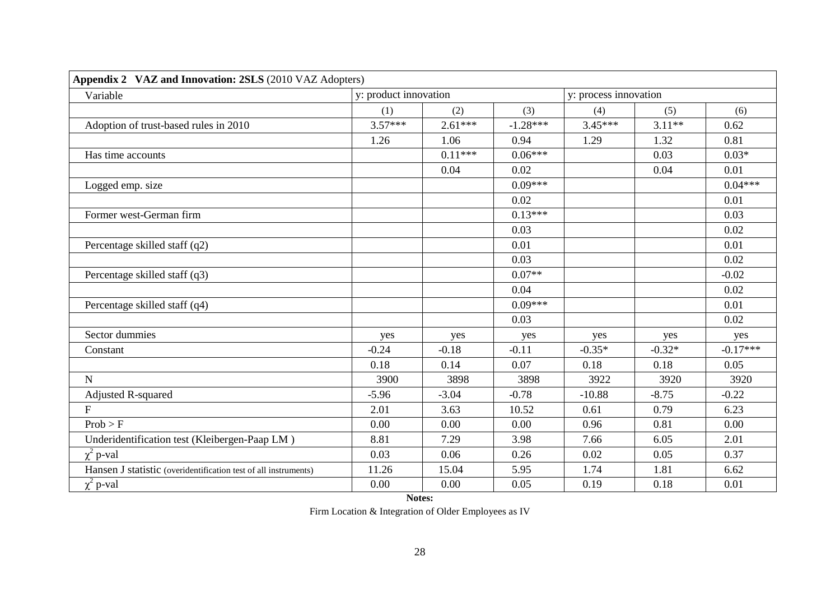| Appendix 2 VAZ and Innovation: 2SLS (2010 VAZ Adopters)         |                       |           |            |                       |          |            |
|-----------------------------------------------------------------|-----------------------|-----------|------------|-----------------------|----------|------------|
| Variable                                                        | y: product innovation |           |            | y: process innovation |          |            |
|                                                                 | (1)                   | (2)       | (3)        | (4)                   | (5)      | (6)        |
| Adoption of trust-based rules in 2010                           | $3.57***$             | $2.61***$ | $-1.28***$ | $3.45***$             | $3.11**$ | 0.62       |
|                                                                 | 1.26                  | 1.06      | 0.94       | 1.29                  | 1.32     | 0.81       |
| Has time accounts                                               |                       | $0.11***$ | $0.06***$  |                       | 0.03     | $0.03*$    |
|                                                                 |                       | 0.04      | 0.02       |                       | 0.04     | 0.01       |
| Logged emp. size                                                |                       |           | $0.09***$  |                       |          | $0.04***$  |
|                                                                 |                       |           | 0.02       |                       |          | 0.01       |
| Former west-German firm                                         |                       |           | $0.13***$  |                       |          | 0.03       |
|                                                                 |                       |           | 0.03       |                       |          | 0.02       |
| Percentage skilled staff (q2)                                   |                       |           | 0.01       |                       |          | 0.01       |
|                                                                 |                       |           | 0.03       |                       |          | 0.02       |
| Percentage skilled staff (q3)                                   |                       |           | $0.07**$   |                       |          | $-0.02$    |
|                                                                 |                       |           | 0.04       |                       |          | 0.02       |
| Percentage skilled staff (q4)                                   |                       |           | $0.09***$  |                       |          | 0.01       |
|                                                                 |                       |           | 0.03       |                       |          | 0.02       |
| Sector dummies                                                  | yes                   | yes       | yes        | yes                   | yes      | yes        |
| Constant                                                        | $-0.24$               | $-0.18$   | $-0.11$    | $-0.35*$              | $-0.32*$ | $-0.17***$ |
|                                                                 | 0.18                  | 0.14      | 0.07       | 0.18                  | 0.18     | 0.05       |
| $\overline{N}$                                                  | 3900                  | 3898      | 3898       | 3922                  | 3920     | 3920       |
| <b>Adjusted R-squared</b>                                       | $-5.96$               | $-3.04$   | $-0.78$    | $-10.88$              | $-8.75$  | $-0.22$    |
| $\mathbf F$                                                     | 2.01                  | 3.63      | 10.52      | 0.61                  | 0.79     | 6.23       |
| Prob > F                                                        | 0.00                  | 0.00      | 0.00       | 0.96                  | 0.81     | 0.00       |
| Underidentification test (Kleibergen-Paap LM)                   | 8.81                  | 7.29      | 3.98       | 7.66                  | 6.05     | 2.01       |
| $\chi^2$ p-val                                                  | 0.03                  | 0.06      | 0.26       | 0.02                  | 0.05     | 0.37       |
| Hansen J statistic (overidentification test of all instruments) | 11.26                 | 15.04     | 5.95       | 1.74                  | 1.81     | 6.62       |
| $\chi^2$ p-val                                                  | 0.00                  | 0.00      | 0.05       | 0.19                  | 0.18     | 0.01       |

**Notes:**

Firm Location & Integration of Older Employees as IV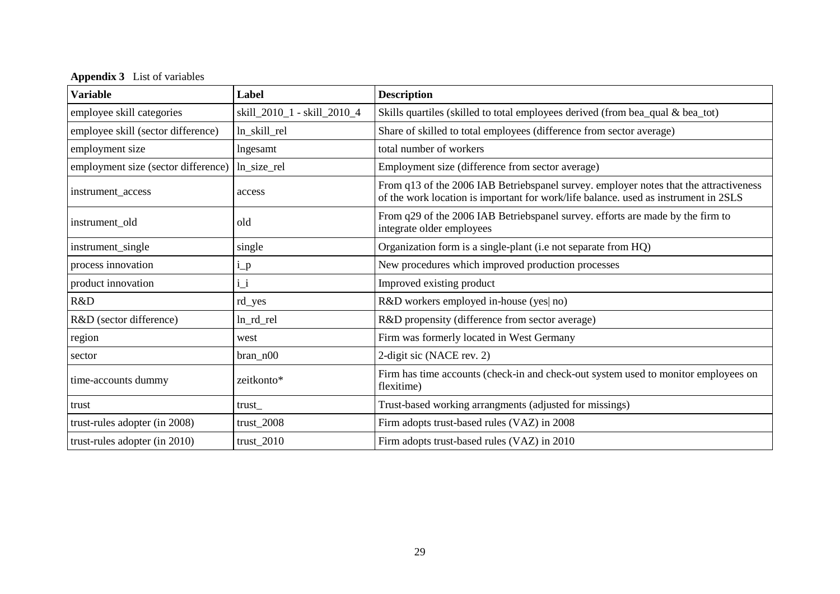**Appendix 3** List of variables

| <b>Variable</b>                     | Label                       | <b>Description</b>                                                                                                                                                           |
|-------------------------------------|-----------------------------|------------------------------------------------------------------------------------------------------------------------------------------------------------------------------|
| employee skill categories           | skill_2010_1 - skill_2010_4 | Skills quartiles (skilled to total employees derived (from bea_qual & bea_tot)                                                                                               |
| employee skill (sector difference)  | ln_skill_rel                | Share of skilled to total employees (difference from sector average)                                                                                                         |
| employment size                     | lngesamt                    | total number of workers                                                                                                                                                      |
| employment size (sector difference) | ln_size_rel                 | Employment size (difference from sector average)                                                                                                                             |
| instrument_access                   | access                      | From q13 of the 2006 IAB Betriebspanel survey. employer notes that the attractiveness<br>of the work location is important for work/life balance. used as instrument in 2SLS |
| instrument_old                      | old                         | From q29 of the 2006 IAB Betriebspanel survey. efforts are made by the firm to<br>integrate older employees                                                                  |
| instrument_single                   | single                      | Organization form is a single-plant (i.e not separate from HQ)                                                                                                               |
| process innovation                  | $i_p$                       | New procedures which improved production processes                                                                                                                           |
| product innovation                  | $i_i$                       | Improved existing product                                                                                                                                                    |
| R&D                                 | rd_yes                      | R&D workers employed in-house (yes) no)                                                                                                                                      |
| R&D (sector difference)             | ln_rd_rel                   | R&D propensity (difference from sector average)                                                                                                                              |
| region                              | west                        | Firm was formerly located in West Germany                                                                                                                                    |
| sector                              | $bran_n00$                  | 2-digit sic (NACE rev. 2)                                                                                                                                                    |
| time-accounts dummy                 | zeitkonto*                  | Firm has time accounts (check-in and check-out system used to monitor employees on<br>flexitime)                                                                             |
| trust                               | trust                       | Trust-based working arrangments (adjusted for missings)                                                                                                                      |
| trust-rules adopter (in 2008)       | $trust_2008$                | Firm adopts trust-based rules (VAZ) in 2008                                                                                                                                  |
| trust-rules adopter (in 2010)       | $trust_2010$                | Firm adopts trust-based rules (VAZ) in 2010                                                                                                                                  |